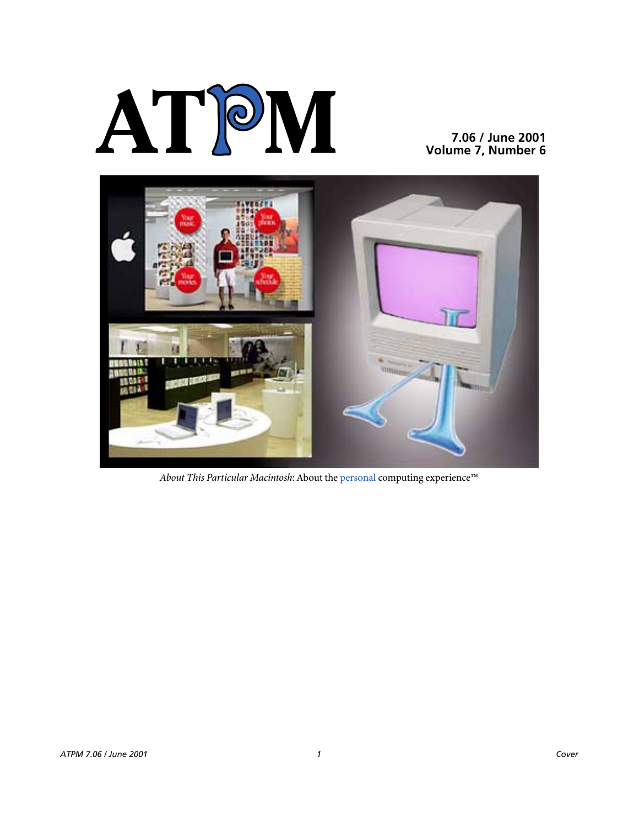# **AT**P**M**

**7.06 / June 2001 Volume 7, Number 6**



*About This Particular Macintosh*: About the personal computing experience™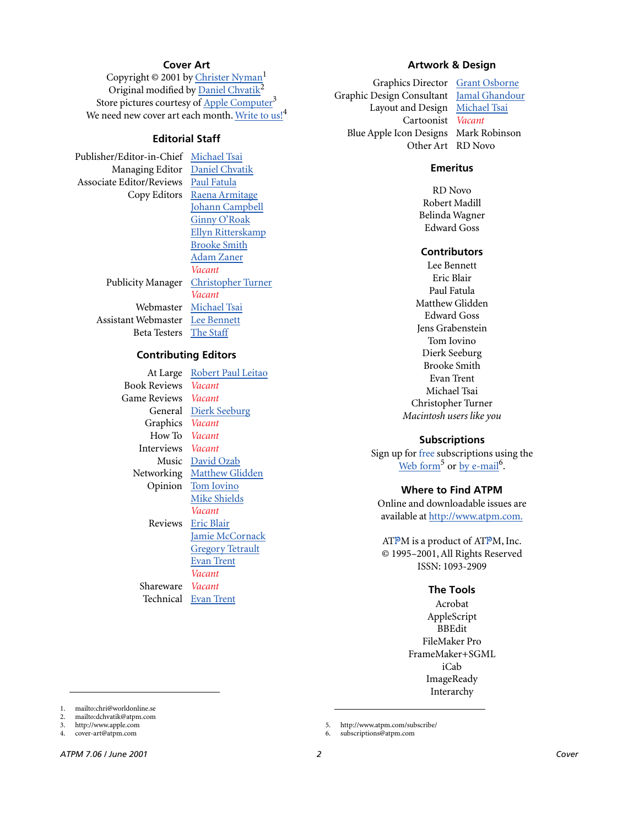# **Cover Art**

Copyright  $\odot$  2001 by Christer Nyman<sup>1</sup> Original modified by Daniel Chvatik<sup>2</sup> Store pictures courtesy of [Apple Computer](http://www.apple.com)<sup>3</sup> We need new cover art each month. [Write to us!](mailto:cover-art@atpm.com)<sup>4</sup>

# **Editorial Staff**

Publisher/Editor-in-Chief [Michael Tsai](mailto:mtsai@atpm.com) Managing Editor [Daniel Chvatik](mailto:dchvatik@atpm.com) Associate Editor/Reviews [Paul Fatula](mailto:pfatula@atpm.com)

Copy Editors [Raena Armitage](mailto:rarmitage@atpm.com) [Johann Campbell](mailto:jcampbell@atpm.com) [Ginny O'Roak](mailto:goroak@atpm.com) [Ellyn Ritterskamp](mailto:eritterskamp@atpm.com) [Brooke Smith](mailto:bsmith@atpm.com) [Adam Zaner](mailto:azaner@atpm.com) *Vacant* Publicity Manager [Christopher Turner](mailto:cturner@atpm.com) *Vacant* Webmaster [Michael Tsai](mailto:mtsai@atpm.com) Assistant Webmaster [Lee Bennett](mailto:lbennett@atpm.com) Beta Testers [The Staff](mailto:editor@atpm.com)

# **Contributing Editors**

At Large Robert Paul Leitao Book Reviews *Vacant* Game Reviews *Vacant* General [Dierk Seeburg](mailto:dseeburg@atpm.com) Graphics *Vacant* How To *Vacant* Interviews *Vacant* Music [David Ozab](mailto:dozab@atpm.com) Networking [Matthew Glidden](mailto:mglidden@atpm.com) Opinion [Tom Iovino](mailto:tiovino@atpm.com) [Mike Shields](mailto:mshields@atpm.com) *Vacant* Reviews [Eric Blair](mailto:eblair@atpm.com) [Jamie McCornack](mailto:jmccornack@atpm.com) **[Gregory Tetrault](mailto:gtetrault@atpm.com)** [Evan Trent](mailto:etrent@atpm.com) *Vacant* Shareware *Vacant* Technical [Evan Trent](mailto:etrent@atpm.com)

# **Artwork & Design**

Graphics Director [Grant Osborne](mailto:gosborne@atpm.com) Graphic Design Consultant [Jamal Ghandour](mailto:jghandour@atpm.com) Layout and Design [Michael Tsai](mailto:mtsai@atpm.com) Cartoonist *Vacant* Blue Apple Icon Designs Mark Robinson Other Art RD Novo

# **Emeritus**

RD Novo Robert Madill Belinda Wagner Edward Goss

#### **Contributors**

Lee Bennett Eric Blair Paul Fatula Matthew Glidden Edward Goss Jens Grabenstein Tom Iovino Dierk Seeburg Brooke Smith Evan Trent Michael Tsai Christopher Turner *Macintosh users like you*

# **Subscriptions**

Sign up for free subscriptions using the [Web form](http://www.atpm.com/subscribe/)<sup>5</sup> or  $by$  e-mail<sup>6</sup>.

# **Where to Find ATPM**

Online and downloadable issues are available at [http://www.atpm.com.](http://www.atpm.com)

ATPM is a product of ATPM, Inc. © 1995–2001, All Rights Reserved ISSN: 1093-2909

#### **The Tools**

Acrobat AppleScript BBEdit FileMaker Pro FrameMaker+SGML iCab **ImageReady** Interarchy

5. http://www.atpm.com/subscribe/ 6. subscriptions@atpm.com

<sup>1.</sup> mailto:chri@worldonline.se

<sup>2.</sup> mailto:dchvatik@atpm.com<br>3 http://www.apple.com http://www.apple.com

<sup>4.</sup> cover-art@atpm.com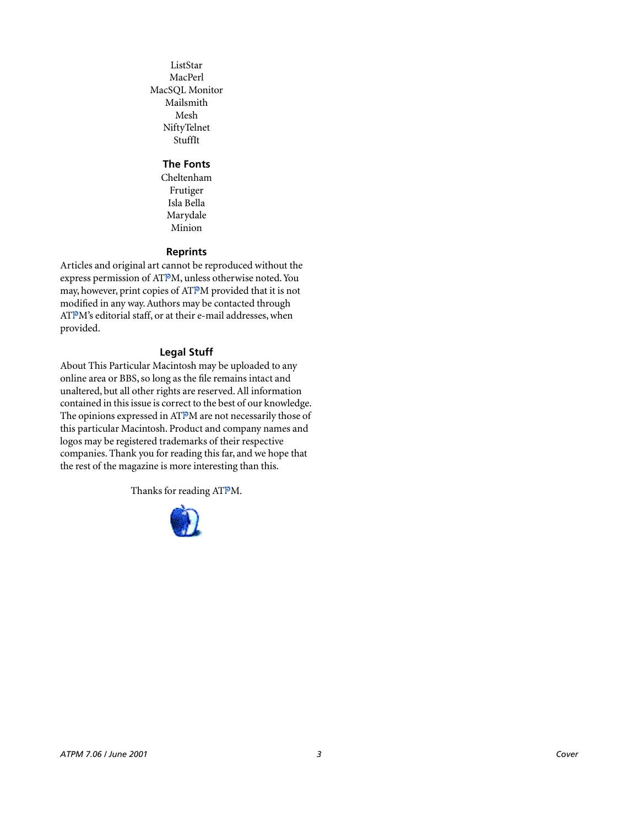ListStar MacPerl MacSQL Monitor Mailsmith Mesh NiftyTelnet StuffIt

# **The Fonts**

Cheltenham Frutiger Isla Bella Marydale Minion

# **Reprints**

Articles and original art cannot be reproduced without the express permission of ATPM, unless otherwise noted. You may, however, print copies of ATPM provided that it is not modified in any way. Authors may be contacted through ATPM's editorial staff, or at their e-mail addresses, when provided.

# **Legal Stuff**

About This Particular Macintosh may be uploaded to any online area or BBS, so long as the file remains intact and unaltered, but all other rights are reserved. All information contained in this issue is correct to the best of our knowledge. The opinions expressed in ATPM are not necessarily those of this particular Macintosh. Product and company names and logos may be registered trademarks of their respective companies. Thank you for reading this far, and we hope that the rest of the magazine is more interesting than this.

Thanks for reading ATPM.

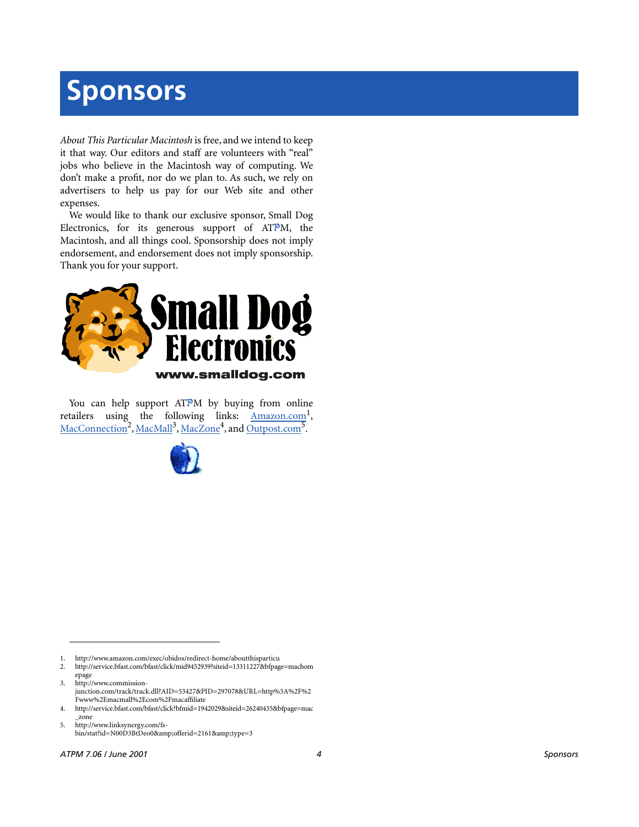# **Sponsors**

*About This Particular Macintosh* is free, and we intend to keep it that way. Our editors and staff are volunteers with "real" jobs who believe in the Macintosh way of computing. We don't make a profit, nor do we plan to. As such, we rely on advertisers to help us pay for our Web site and other expenses.

We would like to thank our exclusive sponsor, Small Dog Electronics, for its generous support of ATPM, the Macintosh, and all things cool. Sponsorship does not imply endorsement, and endorsement does not imply sponsorship. Thank you for your support.



You can help support ATPM by buying from online retailers using the following links: Amazon.com<sup>1</sup>, [MacConnection](http://service.bfast.com/bfast/click/mid9452939?siteid=13311227&bfpage=machomepage)<sup>2</sup>, [MacMall](http://www.commission-junction.com/track/track.dll?AID=53427&PID=297078&URL=http%3A%2F%2Fwww%2Emacmall%2Ecom%2Fmacaffiliate)<sup>3</sup>, [MacZone](http://service.bfast.com/bfast/click?bfmid=1942029&siteid=26240435&bfpage=mac_zone)<sup>4</sup>, and Outpost.com<sup>5</sup>.



1. http://www.amazon.com/exec/obidos/redirect-home/aboutthisparticu

2. http://service.bfast.com/bfast/click/mid9452939?siteid=13311227&bfpage=machom epage

3. http://www.commissionjunction.com/track/track.dll?AID=53427&PID=297078&URL=http%3A%2F%2 Fwww%2Emacmall%2Ecom%2Fmacaffiliate

4. http://service.bfast.com/bfast/click?bfmid=1942029&siteid=26240435&bfpage=mac \_zone

5. http://www.linksynergy.com/fsbin/stat?id=N00D3BtDeo0&offerid=2161&type=3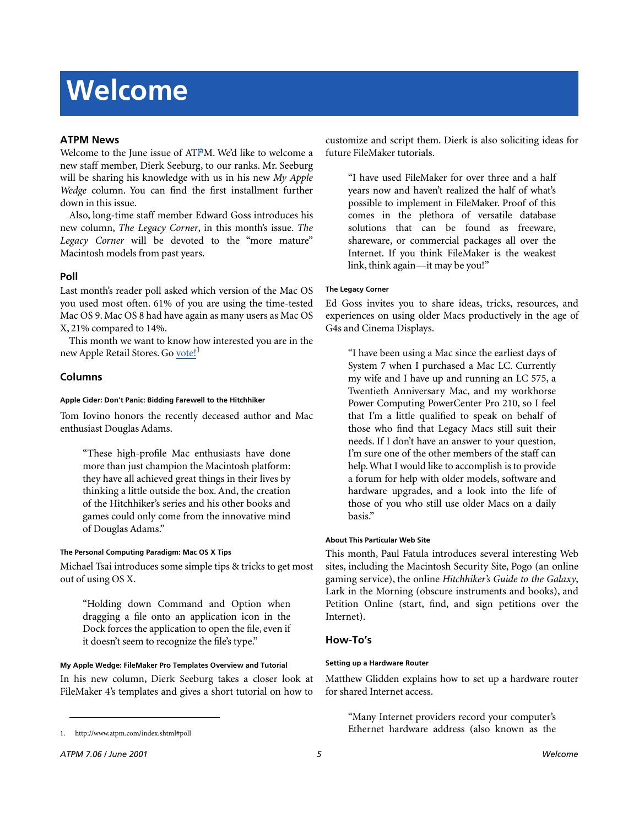# **Welcome**

# **ATPM News**

Welcome to the June issue of ATPM. We'd like to welcome a new staff member, Dierk Seeburg, to our ranks. Mr. Seeburg will be sharing his knowledge with us in his new *My Apple Wedge* column. You can find the first installment further down in this issue.

Also, long-time staff member Edward Goss introduces his new column, *The Legacy Corner*, in this month's issue. *The Legacy Corner* will be devoted to the "more mature" Macintosh models from past years.

# **Poll**

Last month's reader poll asked which version of the Mac OS you used most often. 61% of you are using the time-tested Mac OS 9. Mac OS 8 had have again as many users as Mac OS X, 21% compared to 14%.

This month we want to know how interested you are in the new Apple Retail Stores. Go [vote!](http://www.atpm.com/index.shtml#poll)<sup>1</sup>

# **Columns**

#### **Apple Cider: Don't Panic: Bidding Farewell to the Hitchhiker**

Tom Iovino honors the recently deceased author and Mac enthusiast Douglas Adams.

"These high-profile Mac enthusiasts have done more than just champion the Macintosh platform: they have all achieved great things in their lives by thinking a little outside the box. And, the creation of the Hitchhiker's series and his other books and games could only come from the innovative mind of Douglas Adams."

# **The Personal Computing Paradigm: Mac OS X Tips**

Michael Tsai introduces some simple tips & tricks to get most out of using OS X.

"Holding down Command and Option when dragging a file onto an application icon in the Dock forces the application to open the file, even if it doesn't seem to recognize the file's type."

# **My Apple Wedge: FileMaker Pro Templates Overview and Tutorial**

In his new column, Dierk Seeburg takes a closer look at FileMaker 4's templates and gives a short tutorial on how to

customize and script them. Dierk is also soliciting ideas for future FileMaker tutorials.

"I have used FileMaker for over three and a half years now and haven't realized the half of what's possible to implement in FileMaker. Proof of this comes in the plethora of versatile database solutions that can be found as freeware, shareware, or commercial packages all over the Internet. If you think FileMaker is the weakest link, think again—it may be you!"

# **The Legacy Corner**

Ed Goss invites you to share ideas, tricks, resources, and experiences on using older Macs productively in the age of G4s and Cinema Displays.

"I have been using a Mac since the earliest days of System 7 when I purchased a Mac LC. Currently my wife and I have up and running an LC 575, a Twentieth Anniversary Mac, and my workhorse Power Computing PowerCenter Pro 210, so I feel that I'm a little qualified to speak on behalf of those who find that Legacy Macs still suit their needs. If I don't have an answer to your question, I'm sure one of the other members of the staff can help. What I would like to accomplish is to provide a forum for help with older models, software and hardware upgrades, and a look into the life of those of you who still use older Macs on a daily basis."

#### **About This Particular Web Site**

This month, Paul Fatula introduces several interesting Web sites, including the Macintosh Security Site, Pogo (an online gaming service), the online *Hitchhiker's Guide to the Galaxy*, Lark in the Morning (obscure instruments and books), and Petition Online (start, find, and sign petitions over the Internet).

# **How-To's**

#### **Setting up a Hardware Router**

Matthew Glidden explains how to set up a hardware router for shared Internet access.

"Many Internet providers record your computer's Ethernet hardware address (also known as the

<sup>1.</sup> http://www.atpm.com/index.shtml#poll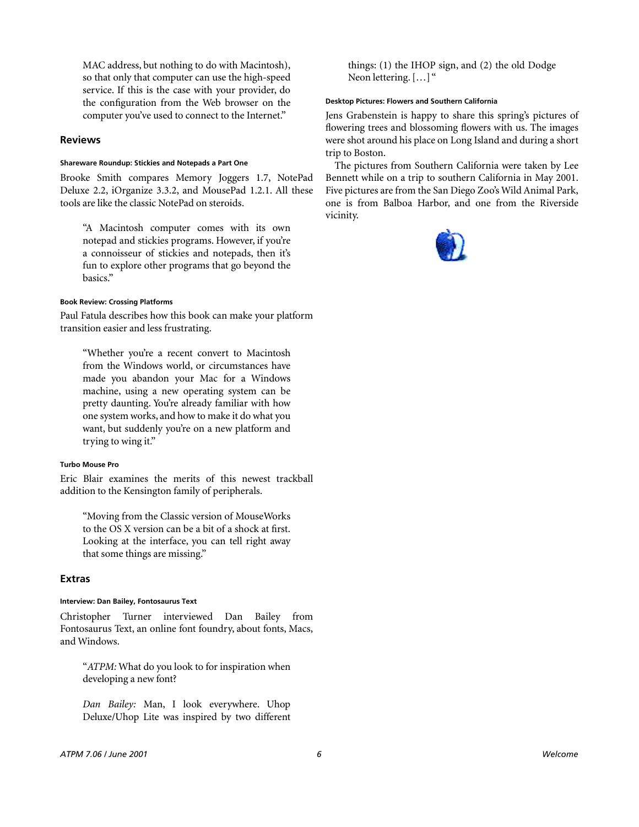MAC address, but nothing to do with Macintosh), so that only that computer can use the high-speed service. If this is the case with your provider, do the configuration from the Web browser on the computer you've used to connect to the Internet."

# **Reviews**

#### **Shareware Roundup: Stickies and Notepads a Part One**

Brooke Smith compares Memory Joggers 1.7, NotePad Deluxe 2.2, iOrganize 3.3.2, and MousePad 1.2.1. All these tools are like the classic NotePad on steroids.

"A Macintosh computer comes with its own notepad and stickies programs. However, if you're a connoisseur of stickies and notepads, then it's fun to explore other programs that go beyond the basics."

# **Book Review: Crossing Platforms**

Paul Fatula describes how this book can make your platform transition easier and less frustrating.

"Whether you're a recent convert to Macintosh from the Windows world, or circumstances have made you abandon your Mac for a Windows machine, using a new operating system can be pretty daunting. You're already familiar with how one system works, and how to make it do what you want, but suddenly you're on a new platform and trying to wing it."

#### **Turbo Mouse Pro**

Eric Blair examines the merits of this newest trackball addition to the Kensington family of peripherals.

"Moving from the Classic version of MouseWorks to the OS X version can be a bit of a shock at first. Looking at the interface, you can tell right away that some things are missing."

# **Extras**

# **Interview: Dan Bailey, Fontosaurus Text**

Christopher Turner interviewed Dan Bailey from Fontosaurus Text, an online font foundry, about fonts, Macs, and Windows.

"*ATPM:* What do you look to for inspiration when developing a new font?

*Dan Bailey:* Man, I look everywhere. Uhop Deluxe/Uhop Lite was inspired by two different things: (1) the IHOP sign, and (2) the old Dodge Neon lettering. […] "

#### **Desktop Pictures: Flowers and Southern California**

Jens Grabenstein is happy to share this spring's pictures of flowering trees and blossoming flowers with us. The images were shot around his place on Long Island and during a short trip to Boston.

The pictures from Southern California were taken by Lee Bennett while on a trip to southern California in May 2001. Five pictures are from the San Diego Zoo's Wild Animal Park, one is from Balboa Harbor, and one from the Riverside vicinity.

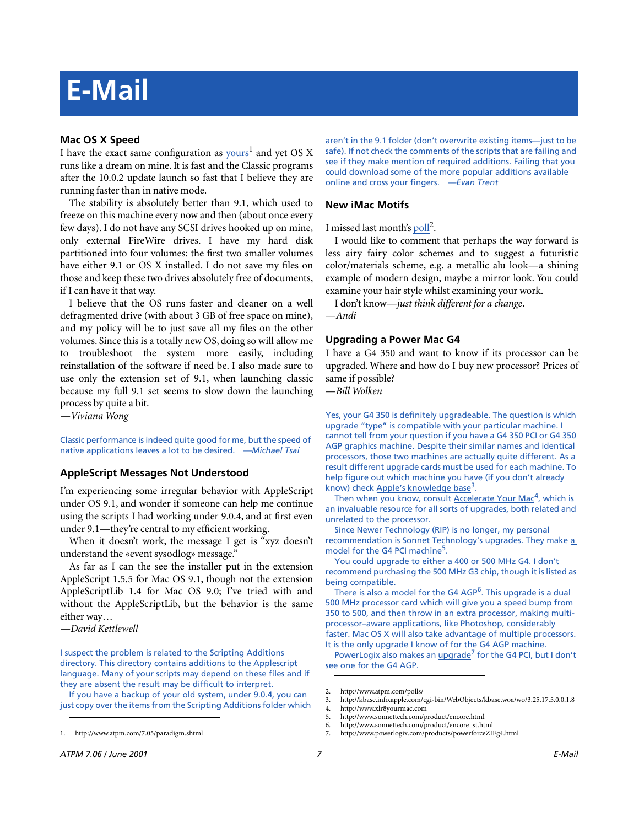# **E-Mail**

# **Mac OS X Speed**

I have the exact same configuration as **[yours](http://www.atpm.com/7.05/paradigm.shtml)**<sup>1</sup> and yet OS X runs like a dream on mine. It is fast and the Classic programs after the 10.0.2 update launch so fast that I believe they are running faster than in native mode.

The stability is absolutely better than 9.1, which used to freeze on this machine every now and then (about once every few days). I do not have any SCSI drives hooked up on mine, only external FireWire drives. I have my hard disk partitioned into four volumes: the first two smaller volumes have either 9.1 or OS X installed. I do not save my files on those and keep these two drives absolutely free of documents, if I can have it that way.

I believe that the OS runs faster and cleaner on a well defragmented drive (with about 3 GB of free space on mine), and my policy will be to just save all my files on the other volumes. Since this is a totally new OS, doing so will allow me to troubleshoot the system more easily, including reinstallation of the software if need be. I also made sure to use only the extension set of 9.1, when launching classic because my full 9.1 set seems to slow down the launching process by quite a bit.

*—Viviana Wong*

Classic performance is indeed quite good for me, but the speed of native applications leaves a lot to be desired. *—Michael Tsai*

# **AppleScript Messages Not Understood**

I'm experiencing some irregular behavior with AppleScript under OS 9.1, and wonder if someone can help me continue using the scripts I had working under 9.0.4, and at first even under 9.1—they're central to my efficient working.

When it doesn't work, the message I get is "xyz doesn't understand the «event sysodlog» message."

As far as I can the see the installer put in the extension AppleScript 1.5.5 for Mac OS 9.1, though not the extension AppleScriptLib 1.4 for Mac OS 9.0; I've tried with and without the AppleScriptLib, but the behavior is the same either way…

*—David Kettlewell*

I suspect the problem is related to the Scripting Additions directory. This directory contains additions to the Applescript language. Many of your scripts may depend on these files and if they are absent the result may be difficult to interpret.

If you have a backup of your old system, under 9.0.4, you can just copy over the items from the Scripting Additions folder which

aren't in the 9.1 folder (don't overwrite existing items—just to be safe). If not check the comments of the scripts that are failing and see if they make mention of required additions. Failing that you could download some of the more popular additions available online and cross your fingers. *—Evan Trent*

# **New iMac Motifs**

I missed last month's [poll](http://www.atpm.com/polls/)<sup>2</sup>.

I would like to comment that perhaps the way forward is less airy fairy color schemes and to suggest a futuristic color/materials scheme, e.g. a metallic alu look—a shining example of modern design, maybe a mirror look. You could examine your hair style whilst examining your work.

I don't know—*just think different for a change*.

*—Andi*

# **Upgrading a Power Mac G4**

I have a G4 350 and want to know if its processor can be upgraded. Where and how do I buy new processor? Prices of same if possible?

*—Bill Wolken*

Yes, your G4 350 is definitely upgradeable. The question is which upgrade "type" is compatible with your particular machine. I cannot tell from your question if you have a G4 350 PCI or G4 350 AGP graphics machine. Despite their similar names and identical processors, those two machines are actually quite different. As a result different upgrade cards must be used for each machine. To help figure out which machine you have (if you don't already know) check [Apple's knowledge base](http://kbase.info.apple.com/cgi-bin/WebObjects/kbase.woa/wo/3.25.17.5.0.0.1.8)<sup>3</sup>.

Then when you know, consult [Accelerate Your Mac](http://www.xlr8yourmac.com)<sup>4</sup>, which is an invaluable resource for all sorts of upgrades, both related and unrelated to the processor.

Since Newer Technology (RIP) is no longer, my personal recommendation is Sonnet Technology's upgrades. They make a [model for the G4 PCI machine](http://www.sonnettech.com/product/encore.html)<sup>5</sup>.

You could upgrade to either a 400 or 500 MHz G4. I don't recommend purchasing the 500 MHz G3 chip, though it is listed as being compatible.

There is also [a model for the G4 AGP](http://www.sonnettech.com/product/encore_st.html)<sup>6</sup>. This upgrade is a dual 500 MHz processor card which will give you a speed bump from 350 to 500, and then throw in an extra processor, making multiprocessor–aware applications, like Photoshop, considerably faster. Mac OS X will also take advantage of multiple processors. It is the only upgrade I know of for the G4 AGP machine.

PowerLogix also makes an [upgrade](http://www.powerlogix.com/products/powerforceZIFg4.html)<sup>7</sup> for the G4 PCI, but I don't see one for the G4 AGP.

<sup>1.</sup> http://www.atpm.com/7.05/paradigm.shtml

<sup>2.</sup> http://www.atpm.com/polls/

<sup>3.</sup> http://kbase.info.apple.com/cgi-bin/WebObjects/kbase.woa/wo/3.25.17.5.0.0.1.8

<sup>4.</sup> http://www.xlr8yourmac.com

<sup>5.</sup> http://www.sonnettech.com/product/encore.html

<sup>6.</sup> http://www.sonnettech.com/product/encore\_st.html 7. http://www.powerlogix.com/products/powerforceZIFg4.html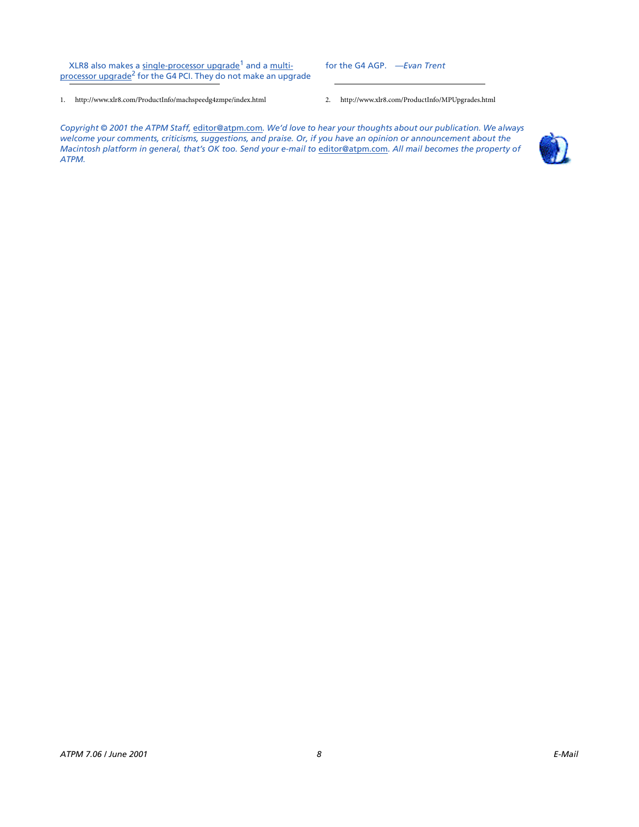XLR8 also makes a [single-processor upgrade](http://www.xlr8.com/ProductInfo/machspeedg4zmpe/index.html)<sup>1</sup> and a [multi](http://www.xlr8.com/ProductInfo/MPUpgrades.html)[processor upgrade](http://www.xlr8.com/ProductInfo/MPUpgrades.html)<sup>2</sup> for the G4 PCI. They do not make an upgrade

- 1. http://www.xlr8.com/ProductInfo/machspeedg4zmpe/index.html 2. http://www.xlr8.com/ProductInfo/MPUpgrades.html
- 

*Copyright © 2001 the ATPM Staff,* [editor@atpm.com](mailto:editor@atpm.com)*. We'd love to hear your thoughts about our publication. We always welcome your comments, criticisms, suggestions, and praise. Or, if you have an opinion or announcement about the Macintosh platform in general, that's OK too. Send your e-mail to [editor@atpm.com](mailto:editor@atpm.com). All mail becomes the property of ATPM.*

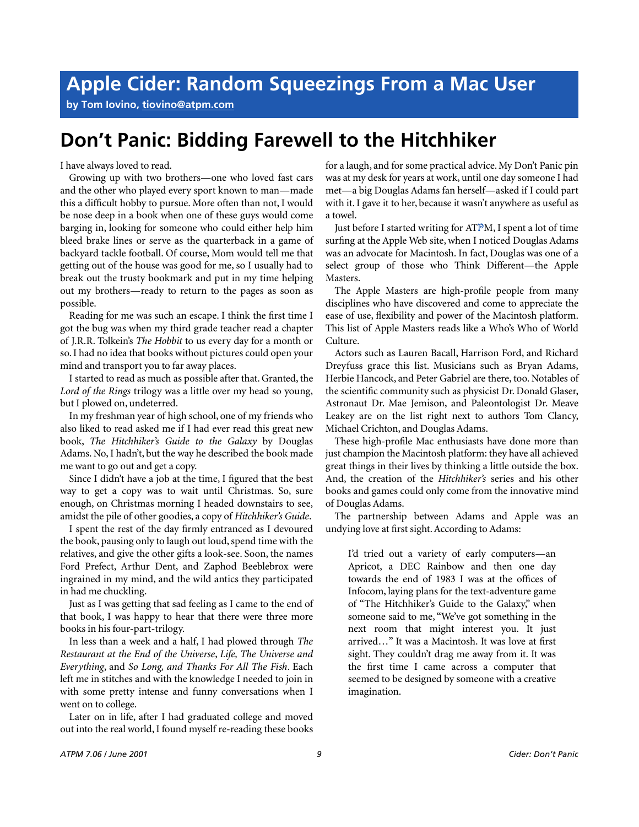**by Tom Iovino, [tiovino@atpm.com](mailto:tiovino@atpm.com)**

# **Don't Panic: Bidding Farewell to the Hitchhiker**

I have always loved to read.

Growing up with two brothers—one who loved fast cars and the other who played every sport known to man—made this a difficult hobby to pursue. More often than not, I would be nose deep in a book when one of these guys would come barging in, looking for someone who could either help him bleed brake lines or serve as the quarterback in a game of backyard tackle football. Of course, Mom would tell me that getting out of the house was good for me, so I usually had to break out the trusty bookmark and put in my time helping out my brothers—ready to return to the pages as soon as possible.

Reading for me was such an escape. I think the first time I got the bug was when my third grade teacher read a chapter of J.R.R. Tolkein's *The Hobbit* to us every day for a month or so. I had no idea that books without pictures could open your mind and transport you to far away places.

I started to read as much as possible after that. Granted, the *Lord of the Rings* trilogy was a little over my head so young, but I plowed on, undeterred.

In my freshman year of high school, one of my friends who also liked to read asked me if I had ever read this great new book, *The Hitchhiker's Guide to the Galaxy* by Douglas Adams. No, I hadn't, but the way he described the book made me want to go out and get a copy.

Since I didn't have a job at the time, I figured that the best way to get a copy was to wait until Christmas. So, sure enough, on Christmas morning I headed downstairs to see, amidst the pile of other goodies, a copy of *Hitchhiker's Guide*.

I spent the rest of the day firmly entranced as I devoured the book, pausing only to laugh out loud, spend time with the relatives, and give the other gifts a look-see. Soon, the names Ford Prefect, Arthur Dent, and Zaphod Beeblebrox were ingrained in my mind, and the wild antics they participated in had me chuckling.

Just as I was getting that sad feeling as I came to the end of that book, I was happy to hear that there were three more books in his four-part-trilogy.

In less than a week and a half, I had plowed through *The Restaurant at the End of the Universe*, *Life, The Universe and Everything*, and *So Long, and Thanks For All The Fish*. Each left me in stitches and with the knowledge I needed to join in with some pretty intense and funny conversations when I went on to college.

Later on in life, after I had graduated college and moved out into the real world, I found myself re-reading these books

for a laugh, and for some practical advice. My Don't Panic pin was at my desk for years at work, until one day someone I had met—a big Douglas Adams fan herself—asked if I could part with it. I gave it to her, because it wasn't anywhere as useful as a towel.

Just before I started writing for ATPM, I spent a lot of time surfing at the Apple Web site, when I noticed Douglas Adams was an advocate for Macintosh. In fact, Douglas was one of a select group of those who Think Different—the Apple Masters.

The Apple Masters are high-profile people from many disciplines who have discovered and come to appreciate the ease of use, flexibility and power of the Macintosh platform. This list of Apple Masters reads like a Who's Who of World Culture.

Actors such as Lauren Bacall, Harrison Ford, and Richard Dreyfuss grace this list. Musicians such as Bryan Adams, Herbie Hancock, and Peter Gabriel are there, too. Notables of the scientific community such as physicist Dr. Donald Glaser, Astronaut Dr. Mae Jemison, and Paleontologist Dr. Meave Leakey are on the list right next to authors Tom Clancy, Michael Crichton, and Douglas Adams.

These high-profile Mac enthusiasts have done more than just champion the Macintosh platform: they have all achieved great things in their lives by thinking a little outside the box. And, the creation of the *Hitchhiker's* series and his other books and games could only come from the innovative mind of Douglas Adams.

The partnership between Adams and Apple was an undying love at first sight. According to Adams:

I'd tried out a variety of early computers—an Apricot, a DEC Rainbow and then one day towards the end of 1983 I was at the offices of Infocom, laying plans for the text-adventure game of "The Hitchhiker's Guide to the Galaxy," when someone said to me, "We've got something in the next room that might interest you. It just arrived…" It was a Macintosh. It was love at first sight. They couldn't drag me away from it. It was the first time I came across a computer that seemed to be designed by someone with a creative imagination.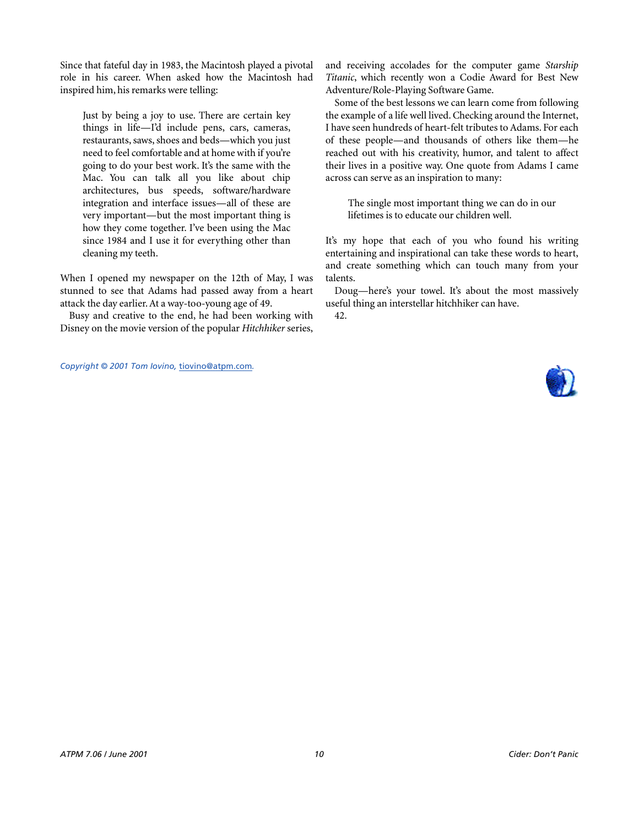Since that fateful day in 1983, the Macintosh played a pivotal role in his career. When asked how the Macintosh had inspired him, his remarks were telling:

Just by being a joy to use. There are certain key things in life—I'd include pens, cars, cameras, restaurants, saws, shoes and beds—which you just need to feel comfortable and at home with if you're going to do your best work. It's the same with the Mac. You can talk all you like about chip architectures, bus speeds, software/hardware integration and interface issues—all of these are very important—but the most important thing is how they come together. I've been using the Mac since 1984 and I use it for everything other than cleaning my teeth.

When I opened my newspaper on the 12th of May, I was stunned to see that Adams had passed away from a heart attack the day earlier. At a way-too-young age of 49.

Busy and creative to the end, he had been working with Disney on the movie version of the popular *Hitchhiker* series,

*Copyright © 2001 Tom Iovino,* [tiovino@atpm.com](mailto:tiovino@atpm.com)*.*

and receiving accolades for the computer game *Starship Titanic*, which recently won a Codie Award for Best New Adventure/Role-Playing Software Game.

Some of the best lessons we can learn come from following the example of a life well lived. Checking around the Internet, I have seen hundreds of heart-felt tributes to Adams. For each of these people—and thousands of others like them—he reached out with his creativity, humor, and talent to affect their lives in a positive way. One quote from Adams I came across can serve as an inspiration to many:

The single most important thing we can do in our lifetimes is to educate our children well.

It's my hope that each of you who found his writing entertaining and inspirational can take these words to heart, and create something which can touch many from your talents.

Doug—here's your towel. It's about the most massively useful thing an interstellar hitchhiker can have.

42.

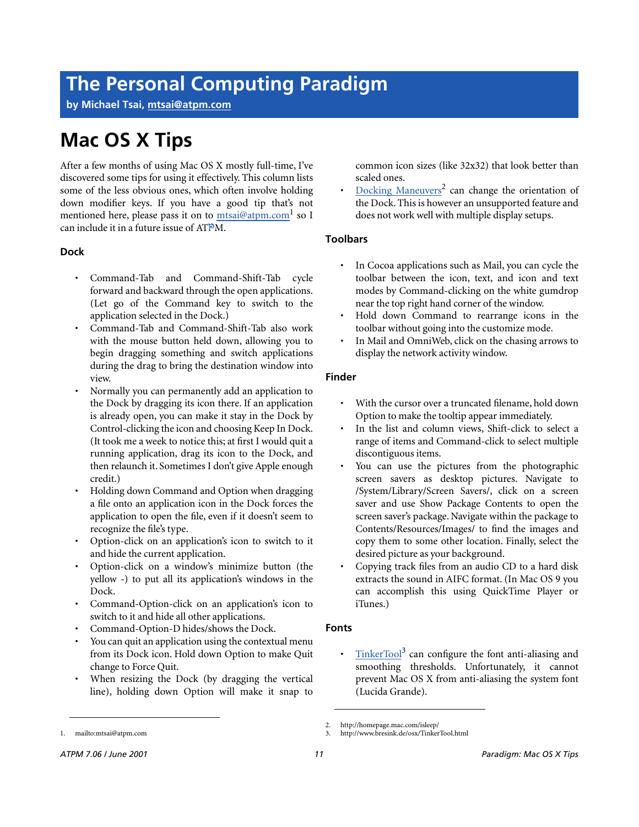# **The Personal Computing Paradigm**

**by Michael Tsai, [mtsai@atpm.com](mailto:mtsai@atpm.com)**

# **Mac OS X Tips**

After a few months of using Mac OS X mostly full-time, I've discovered some tips for using it effectively. This column lists some of the less obvious ones, which often involve holding down modifier keys. If you have a good tip that's not mentioned here, please pass it on to mtsai@atpm.com<sup>1</sup> so I can include it in a future issue of ATPM.

# **Dock**

- Command-Tab and Command-Shift-Tab cycle forward and backward through the open applications. (Let go of the Command key to switch to the application selected in the Dock.)
- Command-Tab and Command-Shift-Tab also work with the mouse button held down, allowing you to begin dragging something and switch applications during the drag to bring the destination window into view.
- Normally you can permanently add an application to the Dock by dragging its icon there. If an application is already open, you can make it stay in the Dock by Control-clicking the icon and choosing Keep In Dock. (It took me a week to notice this; at first I would quit a running application, drag its icon to the Dock, and then relaunch it. Sometimes I don't give Apple enough credit.)
- Holding down Command and Option when dragging a file onto an application icon in the Dock forces the application to open the file, even if it doesn't seem to recognize the file's type.
- Option-click on an application's icon to switch to it and hide the current application.
- Option-click on a window's minimize button (the yellow -) to put all its application's windows in the Dock.
- Command-Option-click on an application's icon to switch to it and hide all other applications.
- Command-Option-D hides/shows the Dock.
- You can quit an application using the contextual menu from its Dock icon. Hold down Option to make Quit change to Force Quit.
- When resizing the Dock (by dragging the vertical line), holding down Option will make it snap to

common icon sizes (like 32x32) that look better than scaled ones.

• [Docking Maneuvers](http://homepage.mac.com/isleep/)<sup>2</sup> can change the orientation of the Dock. This is however an unsupported feature and does not work well with multiple display setups.

# **Toolbars**

- In Cocoa applications such as Mail, you can cycle the toolbar between the icon, text, and icon and text modes by Command-clicking on the white gumdrop near the top right hand corner of the window.
- Hold down Command to rearrange icons in the toolbar without going into the customize mode.
- In Mail and OmniWeb, click on the chasing arrows to display the network activity window.

# **Finder**

- With the cursor over a truncated filename, hold down Option to make the tooltip appear immediately.
- In the list and column views, Shift-click to select a range of items and Command-click to select multiple discontiguous items.
- You can use the pictures from the photographic screen savers as desktop pictures. Navigate to /System/Library/Screen Savers/, click on a screen saver and use Show Package Contents to open the screen saver's package. Navigate within the package to Contents/Resources/Images/ to find the images and copy them to some other location. Finally, select the desired picture as your background.
- Copying track files from an audio CD to a hard disk extracts the sound in AIFC format. (In Mac OS 9 you can accomplish this using QuickTime Player or iTunes.)

# **Fonts**

• [TinkerTool](http://www.bresink.de/osx/TinkerTool.html)<sup>3</sup> can configure the font anti-aliasing and smoothing thresholds. Unfortunately, it cannot prevent Mac OS X from anti-aliasing the system font (Lucida Grande).

<sup>2.</sup> http://homepage.mac.com/isleep/

<sup>3.</sup> http://www.bresink.de/osx/TinkerTool.html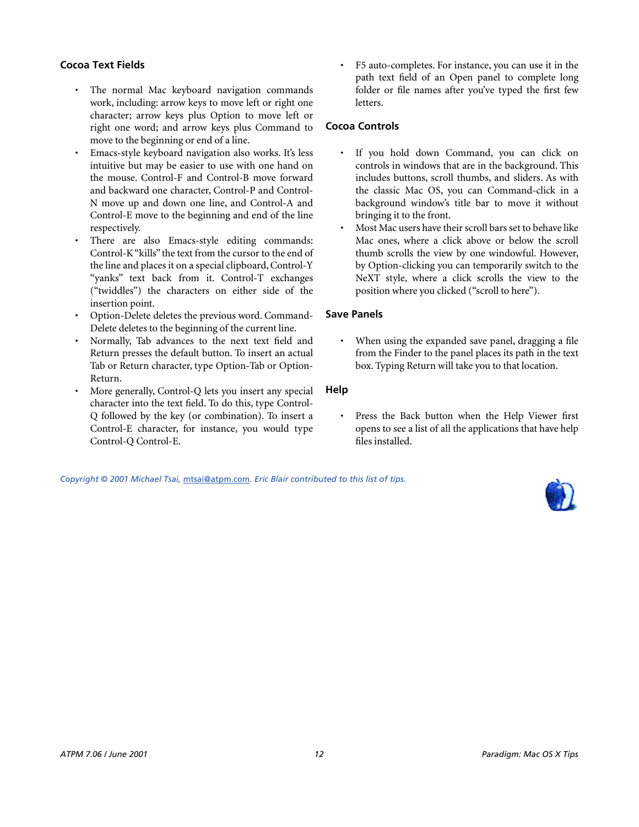# **Cocoa Text Fields**

- The normal Mac keyboard navigation commands work, including: arrow keys to move left or right one character; arrow keys plus Option to move left or right one word; and arrow keys plus Command to move to the beginning or end of a line.
- Emacs-style keyboard navigation also works. It's less intuitive but may be easier to use with one hand on the mouse. Control-F and Control-B move forward and backward one character, Control-P and Control-N move up and down one line, and Control-A and Control-E move to the beginning and end of the line respectively.
- There are also Emacs-style editing commands: Control-K "kills" the text from the cursor to the end of the line and places it on a special clipboard, Control-Y "yanks" text back from it. Control-T exchanges ("twiddles") the characters on either side of the insertion point.
- Option-Delete deletes the previous word. Command-Delete deletes to the beginning of the current line.
- Normally, Tab advances to the next text field and Return presses the default button. To insert an actual Tab or Return character, type Option-Tab or Option-Return.
- More generally, Control-Q lets you insert any special character into the text field. To do this, type Control-Q followed by the key (or combination). To insert a Control-E character, for instance, you would type Control-Q Control-E.

• F5 auto-completes. For instance, you can use it in the path text field of an Open panel to complete long folder or file names after you've typed the first few letters.

# **Cocoa Controls**

- If you hold down Command, you can click on controls in windows that are in the background. This includes buttons, scroll thumbs, and sliders. As with the classic Mac OS, you can Command-click in a background window's title bar to move it without bringing it to the front.
- Most Mac users have their scroll bars set to behave like Mac ones, where a click above or below the scroll thumb scrolls the view by one windowful. However, by Option-clicking you can temporarily switch to the NeXT style, where a click scrolls the view to the position where you clicked ("scroll to here").

# **Save Panels**

When using the expanded save panel, dragging a file from the Finder to the panel places its path in the text box. Typing Return will take you to that location.

# **Help**

• Press the Back button when the Help Viewer first opens to see a list of all the applications that have help files installed.

*Copyright © 2001 Michael Tsai,* [mtsai@atpm.com](mailto:mtsai@atpm.com)*. Eric Blair contributed to this list of tips.*

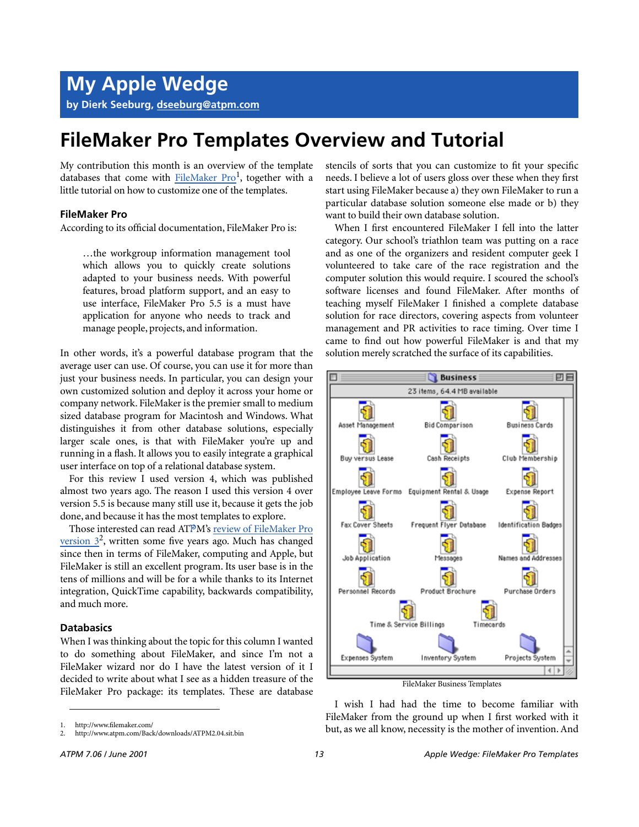# **FileMaker Pro Templates Overview and Tutorial**

My contribution this month is an overview of the template databases that come with [FileMaker Pro](http://www.filemaker.com/)<sup>1</sup>, together with a little tutorial on how to customize one of the templates.

# **FileMaker Pro**

According to its official documentation, FileMaker Pro is:

…the workgroup information management tool which allows you to quickly create solutions adapted to your business needs. With powerful features, broad platform support, and an easy to use interface, FileMaker Pro 5.5 is a must have application for anyone who needs to track and manage people, projects, and information.

In other words, it's a powerful database program that the average user can use. Of course, you can use it for more than just your business needs. In particular, you can design your own customized solution and deploy it across your home or company network. FileMaker is the premier small to medium sized database program for Macintosh and Windows. What distinguishes it from other database solutions, especially larger scale ones, is that with FileMaker you're up and running in a flash. It allows you to easily integrate a graphical user interface on top of a relational database system.

For this review I used version 4, which was published almost two years ago. The reason I used this version 4 over version 5.5 is because many still use it, because it gets the job done, and because it has the most templates to explore.

Those interested can read ATPM's [review of FileMaker Pro](http://www.atpm.com/Back/downloads/ATPM2.04.sit.bin) version  $3^2$ , written some five years ago. Much has changed since then in terms of FileMaker, computing and Apple, but FileMaker is still an excellent program. Its user base is in the tens of millions and will be for a while thanks to its Internet integration, QuickTime capability, backwards compatibility, and much more.

# **Databasics**

When I was thinking about the topic for this column I wanted to do something about FileMaker, and since I'm not a FileMaker wizard nor do I have the latest version of it I decided to write about what I see as a hidden treasure of the FileMaker Pro package: its templates. These are database

stencils of sorts that you can customize to fit your specific needs. I believe a lot of users gloss over these when they first start using FileMaker because a) they own FileMaker to run a particular database solution someone else made or b) they want to build their own database solution.

When I first encountered FileMaker I fell into the latter category. Our school's triathlon team was putting on a race and as one of the organizers and resident computer geek I volunteered to take care of the race registration and the computer solution this would require. I scoured the school's software licenses and found FileMaker. After months of teaching myself FileMaker I finished a complete database solution for race directors, covering aspects from volunteer management and PR activities to race timing. Over time I came to find out how powerful FileMaker is and that my solution merely scratched the surface of its capabilities.



FileMaker Business Templates

I wish I had had the time to become familiar with FileMaker from the ground up when I first worked with it but, as we all know, necessity is the mother of invention. And

<sup>1.</sup> http://www.filemaker.com/

<sup>2.</sup> http://www.atpm.com/Back/downloads/ATPM2.04.sit.bin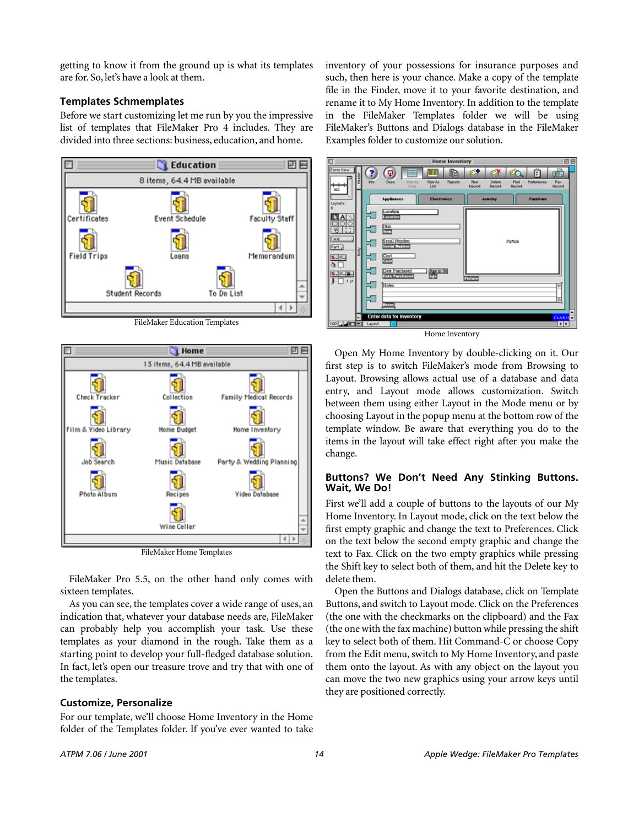getting to know it from the ground up is what its templates are for. So, let's have a look at them.

# **Templates Schmemplates**

Before we start customizing let me run by you the impressive list of templates that FileMaker Pro 4 includes. They are divided into three sections: business, education, and home.



FileMaker Education Templates



FileMaker Home Templates

FileMaker Pro 5.5, on the other hand only comes with sixteen templates.

As you can see, the templates cover a wide range of uses, an indication that, whatever your database needs are, FileMaker can probably help you accomplish your task. Use these templates as your diamond in the rough. Take them as a starting point to develop your full-fledged database solution. In fact, let's open our treasure trove and try that with one of the templates.

# **Customize, Personalize**

For our template, we'll choose Home Inventory in the Home folder of the Templates folder. If you've ever wanted to take

inventory of your possessions for insurance purposes and such, then here is your chance. Make a copy of the template file in the Finder, move it to your favorite destination, and rename it to My Home Inventory. In addition to the template in the FileMaker Templates folder we will be using FileMaker's Buttons and Dialogs database in the FileMaker Examples folder to customize our solution.



Open My Home Inventory by double-clicking on it. Our first step is to switch FileMaker's mode from Browsing to Layout. Browsing allows actual use of a database and data entry, and Layout mode allows customization. Switch between them using either Layout in the Mode menu or by choosing Layout in the popup menu at the bottom row of the template window. Be aware that everything you do to the items in the layout will take effect right after you make the change.

# **Buttons? We Don't Need Any Stinking Buttons. Wait, We Do!**

First we'll add a couple of buttons to the layouts of our My Home Inventory. In Layout mode, click on the text below the first empty graphic and change the text to Preferences. Click on the text below the second empty graphic and change the text to Fax. Click on the two empty graphics while pressing the Shift key to select both of them, and hit the Delete key to delete them.

Open the Buttons and Dialogs database, click on Template Buttons, and switch to Layout mode. Click on the Preferences (the one with the checkmarks on the clipboard) and the Fax (the one with the fax machine) button while pressing the shift key to select both of them. Hit Command-C or choose Copy from the Edit menu, switch to My Home Inventory, and paste them onto the layout. As with any object on the layout you can move the two new graphics using your arrow keys until they are positioned correctly.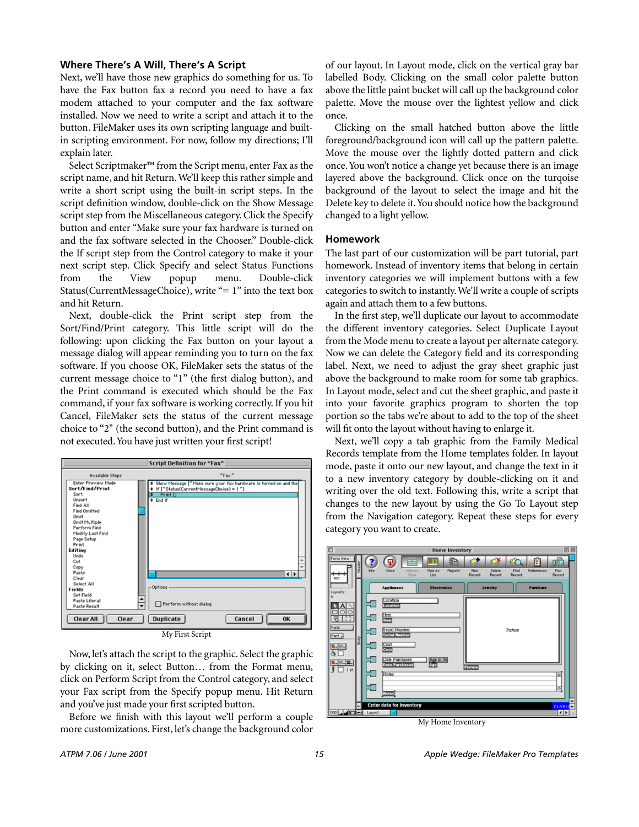# **Where There's A Will, There's A Script**

Next, we'll have those new graphics do something for us. To have the Fax button fax a record you need to have a fax modem attached to your computer and the fax software installed. Now we need to write a script and attach it to the button. FileMaker uses its own scripting language and builtin scripting environment. For now, follow my directions; I'll explain later.

Select Scriptmaker™ from the Script menu, enter Fax as the script name, and hit Return. We'll keep this rather simple and write a short script using the built-in script steps. In the script definition window, double-click on the Show Message script step from the Miscellaneous category. Click the Specify button and enter "Make sure your fax hardware is turned on and the fax software selected in the Chooser." Double-click the If script step from the Control category to make it your next script step. Click Specify and select Status Functions from the View popup menu. Double-click Status(CurrentMessageChoice), write "= 1" into the text box and hit Return.

Next, double-click the Print script step from the Sort/Find/Print category. This little script will do the following: upon clicking the Fax button on your layout a message dialog will appear reminding you to turn on the fax software. If you choose OK, FileMaker sets the status of the current message choice to "1" (the first dialog button), and the Print command is executed which should be the Fax command, if your fax software is working correctly. If you hit Cancel, FileMaker sets the status of the current message choice to "2" (the second button), and the Print command is not executed. You have just written your first script!



My First Script

Now, let's attach the script to the graphic. Select the graphic by clicking on it, select Button… from the Format menu, click on Perform Script from the Control category, and select your Fax script from the Specify popup menu. Hit Return and you've just made your first scripted button.

Before we finish with this layout we'll perform a couple more customizations. First, let's change the background color of our layout. In Layout mode, click on the vertical gray bar labelled Body. Clicking on the small color palette button above the little paint bucket will call up the background color palette. Move the mouse over the lightest yellow and click once.

Clicking on the small hatched button above the little foreground/background icon will call up the pattern palette. Move the mouse over the lightly dotted pattern and click once. You won't notice a change yet because there is an image layered above the background. Click once on the turqoise background of the layout to select the image and hit the Delete key to delete it. You should notice how the background changed to a light yellow.

# **Homework**

The last part of our customization will be part tutorial, part homework. Instead of inventory items that belong in certain inventory categories we will implement buttons with a few categories to switch to instantly. We'll write a couple of scripts again and attach them to a few buttons.

In the first step, we'll duplicate our layout to accommodate the different inventory categories. Select Duplicate Layout from the Mode menu to create a layout per alternate category. Now we can delete the Category field and its corresponding label. Next, we need to adjust the gray sheet graphic just above the background to make room for some tab graphics. In Layout mode, select and cut the sheet graphic, and paste it into your favorite graphics program to shorten the top portion so the tabs we're about to add to the top of the sheet will fit onto the layout without having to enlarge it.

Next, we'll copy a tab graphic from the Family Medical Records template from the Home templates folder. In layout mode, paste it onto our new layout, and change the text in it to a new inventory category by double-clicking on it and writing over the old text. Following this, write a script that changes to the new layout by using the Go To Layout step from the Navigation category. Repeat these steps for every category you want to create.



My Home Inventory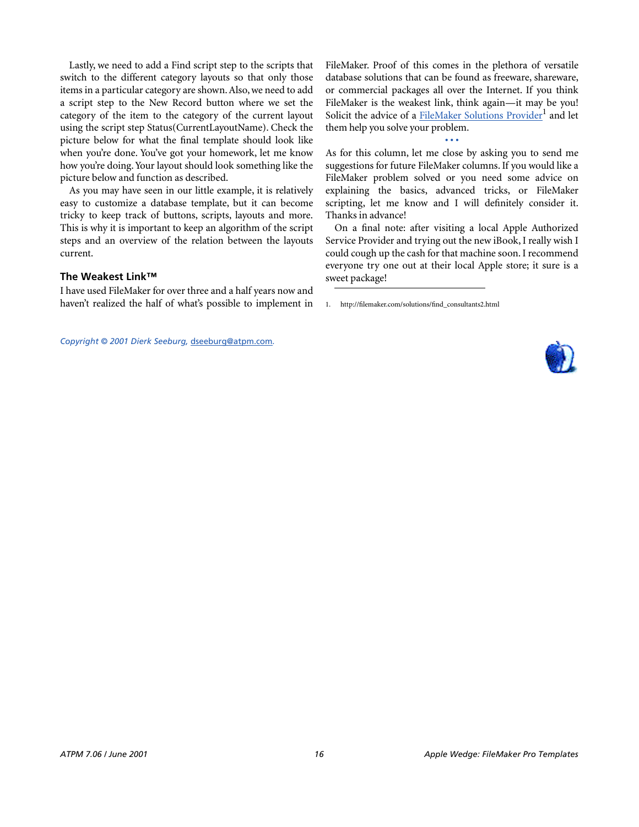Lastly, we need to add a Find script step to the scripts that switch to the different category layouts so that only those items in a particular category are shown. Also, we need to add a script step to the New Record button where we set the category of the item to the category of the current layout using the script step Status(CurrentLayoutName). Check the picture below for what the final template should look like when you're done. You've got your homework, let me know how you're doing. Your layout should look something like the picture below and function as described.

As you may have seen in our little example, it is relatively easy to customize a database template, but it can become tricky to keep track of buttons, scripts, layouts and more. This is why it is important to keep an algorithm of the script steps and an overview of the relation between the layouts current.

# **The Weakest Link™**

I have used FileMaker for over three and a half years now and haven't realized the half of what's possible to implement in

*Copyright © 2001 Dierk Seeburg,* [dseeburg@atpm.com](mailto:dseeburg@atpm.com)*.*

FileMaker. Proof of this comes in the plethora of versatile database solutions that can be found as freeware, shareware, or commercial packages all over the Internet. If you think FileMaker is the weakest link, think again—it may be you! Solicit the advice of a [FileMaker Solutions Provider](http://filemaker.com/solutions/find_consultants2.html)<sup>1</sup> and let them help you solve your problem.

**• • •**

As for this column, let me close by asking you to send me suggestions for future FileMaker columns. If you would like a FileMaker problem solved or you need some advice on explaining the basics, advanced tricks, or FileMaker scripting, let me know and I will definitely consider it. Thanks in advance!

On a final note: after visiting a local Apple Authorized Service Provider and trying out the new iBook, I really wish I could cough up the cash for that machine soon. I recommend everyone try one out at their local Apple store; it sure is a sweet package!



<sup>1.</sup> http://filemaker.com/solutions/find\_consultants2.html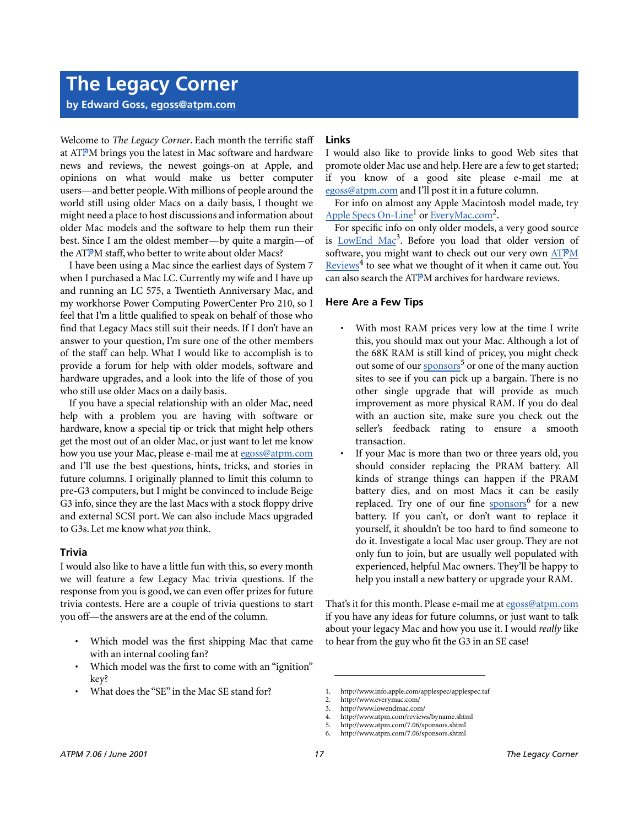**by Edward Goss, [egoss@atpm.com](mailto:egoss@atpm.com)**

Welcome to *The Legacy Corner*. Each month the terrific staff at ATPM brings you the latest in Mac software and hardware news and reviews, the newest goings-on at Apple, and opinions on what would make us better computer users—and better people. With millions of people around the world still using older Macs on a daily basis, I thought we might need a place to host discussions and information about older Mac models and the software to help them run their best. Since I am the oldest member—by quite a margin—of the ATPM staff, who better to write about older Macs?

I have been using a Mac since the earliest days of System 7 when I purchased a Mac LC. Currently my wife and I have up and running an LC 575, a Twentieth Anniversary Mac, and my workhorse Power Computing PowerCenter Pro 210, so I feel that I'm a little qualified to speak on behalf of those who find that Legacy Macs still suit their needs. If I don't have an answer to your question, I'm sure one of the other members of the staff can help. What I would like to accomplish is to provide a forum for help with older models, software and hardware upgrades, and a look into the life of those of you who still use older Macs on a daily basis.

If you have a special relationship with an older Mac, need help with a problem you are having with software or hardware, know a special tip or trick that might help others get the most out of an older Mac, or just want to let me know how you use your Mac, please e-mail me at [egoss@atpm.com](mailto:egoss@atpm.com) and I'll use the best questions, hints, tricks, and stories in future columns. I originally planned to limit this column to pre-G3 computers, but I might be convinced to include Beige G3 info, since they are the last Macs with a stock floppy drive and external SCSI port. We can also include Macs upgraded to G3s. Let me know what *you* think.

# **Trivia**

I would also like to have a little fun with this, so every month we will feature a few Legacy Mac trivia questions. If the response from you is good, we can even offer prizes for future trivia contests. Here are a couple of trivia questions to start you off—the answers are at the end of the column.

- Which model was the first shipping Mac that came with an internal cooling fan?
- Which model was the first to come with an "ignition" key?
- What does the "SE" in the Mac SE stand for?

# **Links**

I would also like to provide links to good Web sites that promote older Mac use and help. Here are a few to get started; if you know of a good site please e-mail me at [egoss@atpm.com](mailto:egoss@atpm.com) and I'll post it in a future column.

For info on almost any Apple Macintosh model made, try Apple Specs On-Line<sup>1</sup> or [EveryMac.com](http://www.everymac.com/)<sup>2</sup>.

For specific info on only older models, a very good source is LowEnd Mac<sup>3</sup>. Before you load that older version of software, you might want to check out our very own [AT](http://www.atpm.com/reviews/byname.shtml)PM Reviews<sup>4</sup> to see what we thought of it when it came out. You can also search the ATPM archives for hardware reviews.

# **Here Are a Few Tips**

- With most RAM prices very low at the time I write this, you should max out your Mac. Although a lot of the 68K RAM is still kind of pricey, you might check out some of our [sponsors](http://www.atpm.com/7.06/sponsors.shtml)<sup>5</sup> or one of the many auction sites to see if you can pick up a bargain. There is no other single upgrade that will provide as much improvement as more physical RAM. If you do deal with an auction site, make sure you check out the seller's feedback rating to ensure a smooth transaction.
- If your Mac is more than two or three years old, you should consider replacing the PRAM battery. All kinds of strange things can happen if the PRAM battery dies, and on most Macs it can be easily replaced. Try one of our fine [sponsors](http://www.atpm.com/7.06/sponsors.shtml)<sup>6</sup> for a new battery. If you can't, or don't want to replace it yourself, it shouldn't be too hard to find someone to do it. Investigate a local Mac user group. They are not only fun to join, but are usually well populated with experienced, helpful Mac owners. They'll be happy to help you install a new battery or upgrade your RAM.

That's it for this month. Please e-mail me at [egoss@atpm.com](mailto:egoss@atpm.com) if you have any ideas for future columns, or just want to talk about your legacy Mac and how you use it. I would *really* like to hear from the guy who fit the G3 in an SE case!

<sup>1.</sup> http://www.info.apple.com/applespec/applespec.taf

<sup>2.</sup> http://www.everymac.com/<br>3. http://www.lowendmac.com

<sup>3.</sup> http://www.lowendmac.com/

<sup>4.</sup> http://www.atpm.com/reviews/byname.shtml

<sup>5.</sup> http://www.atpm.com/7.06/sponsors.shtml

http://www.atpm.com/7.06/sponsors.shtml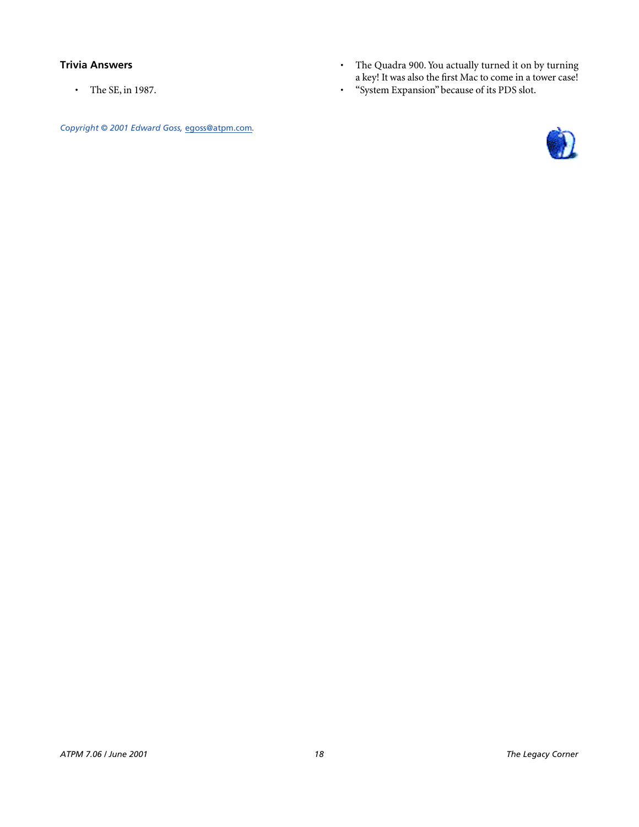# **Trivia Answers**

• The SE, in 1987.

*Copyright © 2001 Edward Goss,* [egoss@atpm.com](mailto:egoss@atpm.com)*.*

- The Quadra 900. You actually turned it on by turning a key! It was also the first Mac to come in a tower case!
- "System Expansion" because of its PDS slot.

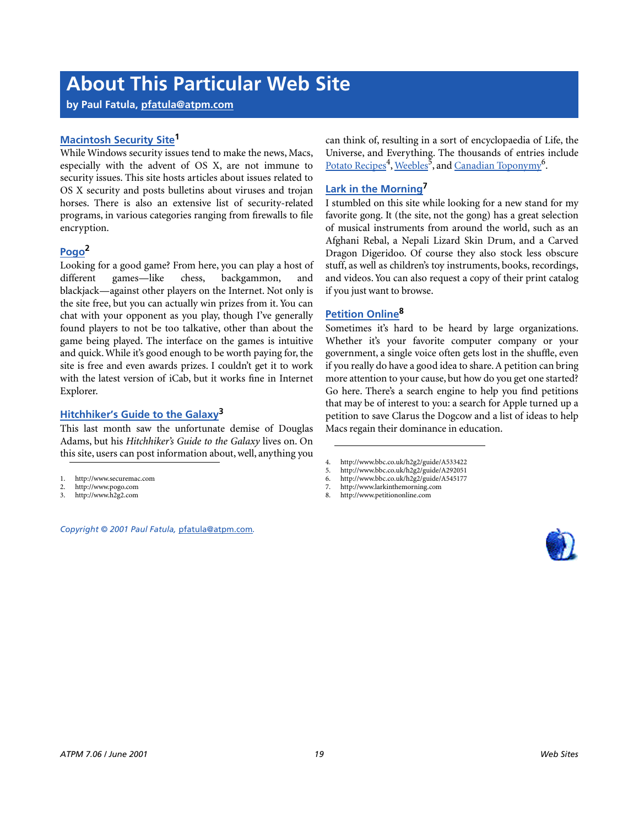# **About This Particular Web Site**

**by Paul Fatula, [pfatula@atpm.com](mailto:pfatula@atpm.com)**

# **[Macintosh Security Site1](http://www.securemac.com)**

While Windows security issues tend to make the news, Macs, especially with the advent of OS X, are not immune to security issues. This site hosts articles about issues related to OS X security and posts bulletins about viruses and trojan horses. There is also an extensive list of security-related programs, in various categories ranging from firewalls to file encryption.

# **[Pogo](http://www.pogo.com)2**

Looking for a good game? From here, you can play a host of different games—like chess, backgammon, and blackjack—against other players on the Internet. Not only is the site free, but you can actually win prizes from it. You can chat with your opponent as you play, though I've generally found players to not be too talkative, other than about the game being played. The interface on the games is intuitive and quick. While it's good enough to be worth paying for, the site is free and even awards prizes. I couldn't get it to work with the latest version of iCab, but it works fine in Internet Explorer.

# **[Hitchhiker's Guide to the Galaxy3](http://www.h2g2.com)**

This last month saw the unfortunate demise of Douglas Adams, but his *Hitchhiker's Guide to the Galaxy* lives on. On this site, users can post information about, well, anything you

- 2. http://www.pogo.com<br>3 http://www.b2g2.com
- 3. http://www.h2g2.com

*Copyright © 2001 Paul Fatula,* [pfatula@atpm.com](mailto:pfatula@atpm.com)*.*

can think of, resulting in a sort of encyclopaedia of Life, the Universe, and Everything. The thousands of entries include [Potato Recipes](http://www.bbc.co.uk/h2g2/guide/A533422)<sup>4</sup>, [Weebles](http://www.bbc.co.uk/h2g2/guide/A292051)<sup>5</sup>, and <u>Canadian Toponymy</u><sup>6</sup>.

# **[Lark in the Morning](http://www.larkinthemorning.com)7**

I stumbled on this site while looking for a new stand for my favorite gong. It (the site, not the gong) has a great selection of musical instruments from around the world, such as an Afghani Rebal, a Nepali Lizard Skin Drum, and a Carved Dragon Digeridoo. Of course they also stock less obscure stuff, as well as children's toy instruments, books, recordings, and videos. You can also request a copy of their print catalog if you just want to browse.

# **[Petition Online8](http://www.petitiononline.com)**

Sometimes it's hard to be heard by large organizations. Whether it's your favorite computer company or your government, a single voice often gets lost in the shuffle, even if you really do have a good idea to share. A petition can bring more attention to your cause, but how do you get one started? Go here. There's a search engine to help you find petitions that may be of interest to you: a search for Apple turned up a petition to save Clarus the Dogcow and a list of ideas to help Macs regain their dominance in education.



<sup>1.</sup> http://www.securemac.com

<sup>4.</sup> http://www.bbc.co.uk/h2g2/guide/A533422<br>5. http://www.bbc.co.uk/h2g2/guide/A292051

<sup>5.</sup> http://www.bbc.co.uk/h2g2/guide/A292051

<sup>6.</sup> http://www.bbc.co.uk/h2g2/guide/A545177

<sup>7.</sup> http://www.larkinthemorning.com<br>8. http://www.petitiononline.com 8. http://www.petitiononline.com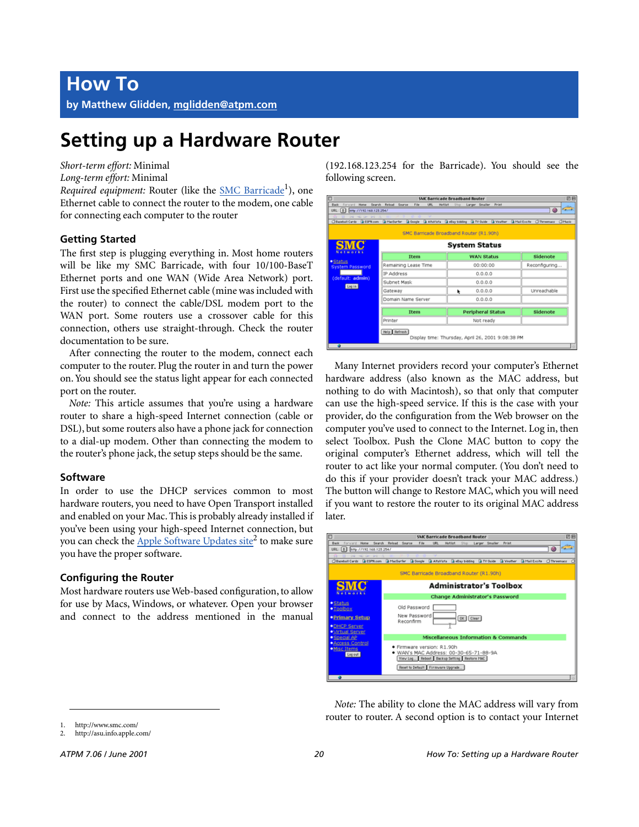# **Setting up a Hardware Router**

*Short-term effort:* Minimal

*Long-term effort:* Minimal

Required equipment: Router (like the **SMC Barricade**<sup>1</sup>), one Ethernet cable to connect the router to the modem, one cable for connecting each computer to the router

# **Getting Started**

The first step is plugging everything in. Most home routers will be like my SMC Barricade, with four 10/100-BaseT Ethernet ports and one WAN (Wide Area Network) port. First use the specified Ethernet cable (mine was included with the router) to connect the cable/DSL modem port to the WAN port. Some routers use a crossover cable for this connection, others use straight-through. Check the router documentation to be sure.

After connecting the router to the modem, connect each computer to the router. Plug the router in and turn the power on. You should see the status light appear for each connected port on the router.

*Note:* This article assumes that you're using a hardware router to share a high-speed Internet connection (cable or DSL), but some routers also have a phone jack for connection to a dial-up modem. Other than connecting the modem to the router's phone jack, the setup steps should be the same.

# **Software**

In order to use the DHCP services common to most hardware routers, you need to have Open Transport installed and enabled on your Mac. This is probably already installed if you've been using your high-speed Internet connection, but you can check the Apple Software Updates site<sup>2</sup> to make sure you have the proper software.

# **Configuring the Router**

Most hardware routers use Web-based configuration, to allow for use by Macs, Windows, or whatever. Open your browser and connect to the address mentioned in the manual (192.168.123.254 for the Barricade). You should see the following screen.

|                                                         |                      | <b>SMC Barricade Broadband Router</b>                                                                                                           | 回目                                       |
|---------------------------------------------------------|----------------------|-------------------------------------------------------------------------------------------------------------------------------------------------|------------------------------------------|
| Back Forward Home Search Reload Source                  | File<br>URL          | Stop Larger Smaller Print<br><b>Hotlist</b>                                                                                                     |                                          |
| URL: $\left[ 1 \atop 2 \right]$ http://192.168.123.254/ |                      |                                                                                                                                                 | $\sigma$ <sub>a</sub> $\rightarrow$<br>8 |
| Died they have been                                     |                      | Cilitanhall Cards   B ESPR.com   B Madiumfer   B Occupie   B Altarists   B eBay bidding   B TV Ouide   B Veather   B Mail Excite   Ciliteremacs | OMusic                                   |
|                                                         |                      |                                                                                                                                                 |                                          |
|                                                         |                      | SMC Barricade Broadband Router (R1.90h)                                                                                                         |                                          |
| <b>SMC</b><br><b>System Status</b><br>Not works         |                      |                                                                                                                                                 |                                          |
|                                                         | Item                 | <b>WAN Status</b>                                                                                                                               | Sidenote                                 |
| ·Status<br><b>System Password</b>                       | Remaining Lease Time | 00:00:00                                                                                                                                        | Reconfiguring                            |
|                                                         | IP Address           | 0.0.0.0                                                                                                                                         |                                          |
| (default: admin)<br>Legin                               | Subnet Mask          | 0.0.0.0                                                                                                                                         |                                          |
|                                                         | Gateway              | 0.0.0.0<br>۰                                                                                                                                    | Unreachable                              |
|                                                         | Domain Name Server   | 0.0.0.0                                                                                                                                         |                                          |
|                                                         | Item                 | <b>Peripheral Status</b>                                                                                                                        | Sidenote                                 |
|                                                         |                      |                                                                                                                                                 |                                          |
|                                                         | Printer              | Not ready                                                                                                                                       |                                          |
|                                                         | Help Refresh         | Display time: Thursday, April 26, 2001 9:08:38 PM                                                                                               |                                          |

Many Internet providers record your computer's Ethernet hardware address (also known as the MAC address, but nothing to do with Macintosh), so that only that computer can use the high-speed service. If this is the case with your provider, do the configuration from the Web browser on the computer you've used to connect to the Internet. Log in, then select Toolbox. Push the Clone MAC button to copy the original computer's Ethernet address, which will tell the router to act like your normal computer. (You don't need to do this if your provider doesn't track your MAC address.) The button will change to Restore MAC, which you will need if you want to restore the router to its original MAC address later.



*Note:* The ability to clone the MAC address will vary from router to router. A second option is to contact your Internet

<sup>1.</sup> http://www.smc.com/

<sup>2.</sup> http://asu.info.apple.com/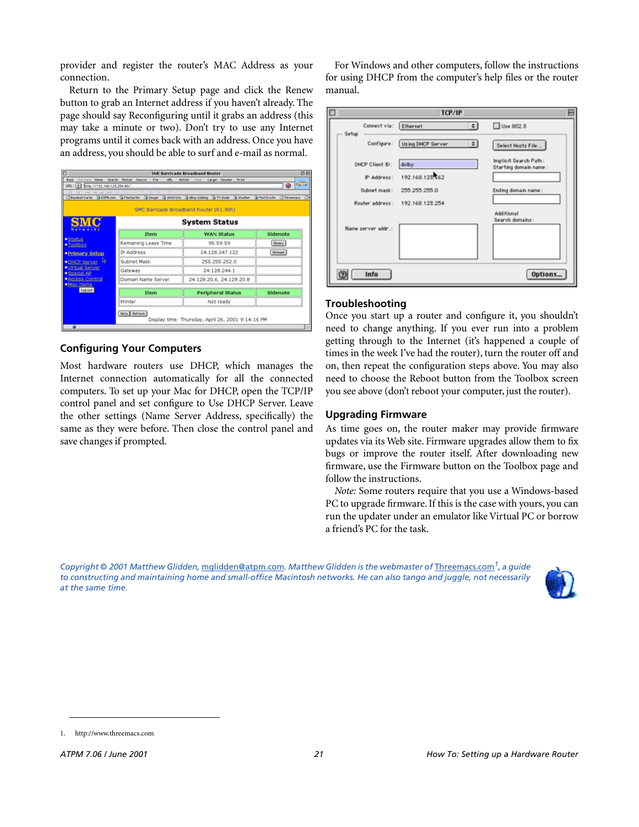provider and register the router's MAC Address as your connection.

Return to the Primary Setup page and click the Renew button to grab an Internet address if you haven't already. The page should say Reconfiguring until it grabs an address (this may take a minute or two). Don't try to use any Internet programs until it comes back with an address. Once you have an address, you should be able to surf and e-mail as normal.

|                                       |                                      | <b>SMC Barricade Broadband Router</b>                                                                                  | 回戸                      |
|---------------------------------------|--------------------------------------|------------------------------------------------------------------------------------------------------------------------|-------------------------|
| <b>Back</b><br><b>Home</b><br>Farward | Search Reload Source<br>File<br>US1. | Larger Smaller Print<br><b>Hollist</b><br>Stop                                                                         |                         |
| URL: 0   http://192.168.123.254.90/   |                                      |                                                                                                                        | ٨<br>$E_{\text{max}}$   |
| tree was serviced                     |                                      | CiBaseball Cards (a ESPN.com (a HacSurfer (a Google (a AltaVista (a eBay bidding (a TV Ouide (a Veather (a Mail Excite | <b>CIThreemass</b><br>O |
|                                       |                                      | SMC Barricade Broadband Router (R1.90h)                                                                                |                         |
|                                       |                                      |                                                                                                                        |                         |
| <b>SMC</b><br>Networks                |                                      | <b>System Status</b>                                                                                                   |                         |
|                                       | Item                                 | <b>WAN Status</b>                                                                                                      | Sidenote                |
| ·Status<br>$\bullet$ Tooloox          | Remaining Lease Time                 | 95:59:59                                                                                                               | Reney                   |
| <b>• Primary Setup</b>                | IP Address                           | 24.128.247.122                                                                                                         | <b>Release</b>          |
| R<br>· DHCP Server                    | Subnet Mask                          | 255.255.252.0                                                                                                          |                         |
| <b>*Mrtual Server</b><br>· Special AP | Gateway                              | 24.128.244.1                                                                                                           |                         |
| · Access Control                      | Domain Name Server                   | 24.128.20.6, 24.128.20.8                                                                                               |                         |
| · Misc Items<br>Log out               | Item                                 | <b>Peripheral Status</b>                                                                                               | Sidenote                |
|                                       | Printer                              | Not ready                                                                                                              |                         |
|                                       | Help   Refresh                       |                                                                                                                        |                         |
|                                       |                                      | Display time: Thursday, April 26, 2001 9:14:16 PM                                                                      |                         |
|                                       |                                      |                                                                                                                        |                         |

# **Configuring Your Computers**

Most hardware routers use DHCP, which manages the Internet connection automatically for all the connected computers. To set up your Mac for DHCP, open the TCP/IP control panel and set configure to Use DHCP Server. Leave the other settings (Name Server Address, specifically) the same as they were before. Then close the control panel and save changes if prompted.

For Windows and other computers, follow the instructions for using DHCP from the computer's help files or the router manual.

| ш                              | TCP/IP                             |                                                |  |
|--------------------------------|------------------------------------|------------------------------------------------|--|
| Connect via: Ethernet<br>Setup | $\left  \cdot \right $             | □ Use 802.3                                    |  |
|                                | Configure: Using DHCP Server<br>ФI | Select Hosts File                              |  |
| DHCP Client ID:                | dolby                              | Implicit Search Path:<br>Starting domain name: |  |
| IP Address:                    | 192.168.123.62                     |                                                |  |
| Subnet mask:                   | 255 255 255.0                      | Ending domain name:                            |  |
| Router address:                | 192.168.123.254                    |                                                |  |
| Name perver addr.:             |                                    | Additional<br>Search domains:                  |  |
|                                |                                    |                                                |  |
| Info                           |                                    | Options                                        |  |

# **Troubleshooting**

Once you start up a router and configure it, you shouldn't need to change anything. If you ever run into a problem getting through to the Internet (it's happened a couple of times in the week I've had the router), turn the router off and on, then repeat the configuration steps above. You may also need to choose the Reboot button from the Toolbox screen you see above (don't reboot your computer, just the router).

# **Upgrading Firmware**

As time goes on, the router maker may provide firmware updates via its Web site. Firmware upgrades allow them to fix bugs or improve the router itself. After downloading new firmware, use the Firmware button on the Toolbox page and follow the instructions.

*Note:* Some routers require that you use a Windows-based PC to upgrade firmware. If this is the case with yours, you can run the updater under an emulator like Virtual PC or borrow a friend's PC for the task.

*Copyright © 2001 Matthew Glidden,* [mglidden@atpm.com](mailto:mglidden@atpm.com)*. Matthew Glidden is the webmaster of* [Threemacs.com](http://www.threemacs.com)*1, a guide to constructing and maintaining home and small-office Macintosh networks. He can also tango and juggle, not necessarily at the same time.*



<sup>1.</sup> http://www.threemacs.com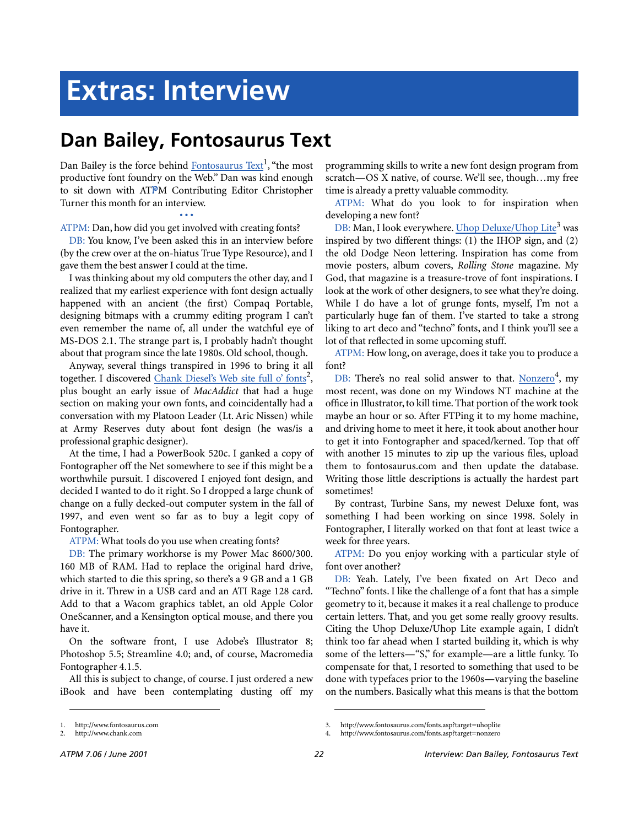# **Extras: Interview**

# **Dan Bailey, Fontosaurus Text**

Dan Bailey is the force behind Fontosaurus Text<sup>1</sup>, "the most productive font foundry on the Web." Dan was kind enough to sit down with ATPM Contributing Editor Christopher Turner this month for an interview.

**• • •** ATPM: Dan, how did you get involved with creating fonts?

DB: You know, I've been asked this in an interview before (by the crew over at the on-hiatus True Type Resource), and I gave them the best answer I could at the time.

I was thinking about my old computers the other day, and I realized that my earliest experience with font design actually happened with an ancient (the first) Compaq Portable, designing bitmaps with a crummy editing program I can't even remember the name of, all under the watchful eye of MS-DOS 2.1. The strange part is, I probably hadn't thought about that program since the late 1980s. Old school, though.

Anyway, several things transpired in 1996 to bring it all together. I discovered Chank Diesel's Web site full o' fonts<sup>2</sup>, plus bought an early issue of *MacAddict* that had a huge section on making your own fonts, and coincidentally had a conversation with my Platoon Leader (Lt. Aric Nissen) while at Army Reserves duty about font design (he was/is a professional graphic designer).

At the time, I had a PowerBook 520c. I ganked a copy of Fontographer off the Net somewhere to see if this might be a worthwhile pursuit. I discovered I enjoyed font design, and decided I wanted to do it right. So I dropped a large chunk of change on a fully decked-out computer system in the fall of 1997, and even went so far as to buy a legit copy of Fontographer.

ATPM: What tools do you use when creating fonts?

DB: The primary workhorse is my Power Mac 8600/300. 160 MB of RAM. Had to replace the original hard drive, which started to die this spring, so there's a 9 GB and a 1 GB drive in it. Threw in a USB card and an ATI Rage 128 card. Add to that a Wacom graphics tablet, an old Apple Color OneScanner, and a Kensington optical mouse, and there you have it.

On the software front, I use Adobe's Illustrator 8; Photoshop 5.5; Streamline 4.0; and, of course, Macromedia Fontographer 4.1.5.

All this is subject to change, of course. I just ordered a new iBook and have been contemplating dusting off my

programming skills to write a new font design program from scratch—OS X native, of course. We'll see, though…my free time is already a pretty valuable commodity.

ATPM: What do you look to for inspiration when developing a new font?

DB: Man, I look everywhere. Uhop Deluxe/Uhop Lite<sup>3</sup> was inspired by two different things: (1) the IHOP sign, and (2) the old Dodge Neon lettering. Inspiration has come from movie posters, album covers, *Rolling Stone* magazine. My God, that magazine is a treasure-trove of font inspirations. I look at the work of other designers, to see what they're doing. While I do have a lot of grunge fonts, myself, I'm not a particularly huge fan of them. I've started to take a strong liking to art deco and "techno" fonts, and I think you'll see a lot of that reflected in some upcoming stuff.

ATPM: How long, on average, does it take you to produce a font?

DB: There's no real solid answer to that. Nonzero<sup>4</sup>, my most recent, was done on my Windows NT machine at the office in Illustrator, to kill time. That portion of the work took maybe an hour or so. After FTPing it to my home machine, and driving home to meet it here, it took about another hour to get it into Fontographer and spaced/kerned. Top that off with another 15 minutes to zip up the various files, upload them to fontosaurus.com and then update the database. Writing those little descriptions is actually the hardest part sometimes!

By contrast, Turbine Sans, my newest Deluxe font, was something I had been working on since 1998. Solely in Fontographer, I literally worked on that font at least twice a week for three years.

ATPM: Do you enjoy working with a particular style of font over another?

DB: Yeah. Lately, I've been fixated on Art Deco and "Techno" fonts. I like the challenge of a font that has a simple geometry to it, because it makes it a real challenge to produce certain letters. That, and you get some really groovy results. Citing the Uhop Deluxe/Uhop Lite example again, I didn't think too far ahead when I started building it, which is why some of the letters—"S," for example—are a little funky. To compensate for that, I resorted to something that used to be done with typefaces prior to the 1960s—varying the baseline on the numbers. Basically what this means is that the bottom

<sup>1.</sup> http://www.fontosaurus.com

<sup>2.</sup> http://www.chank.com

<sup>3.</sup> http://www.fontosaurus.com/fonts.asp?target=uhoplite

<sup>4.</sup> http://www.fontosaurus.com/fonts.asp?target=nonzero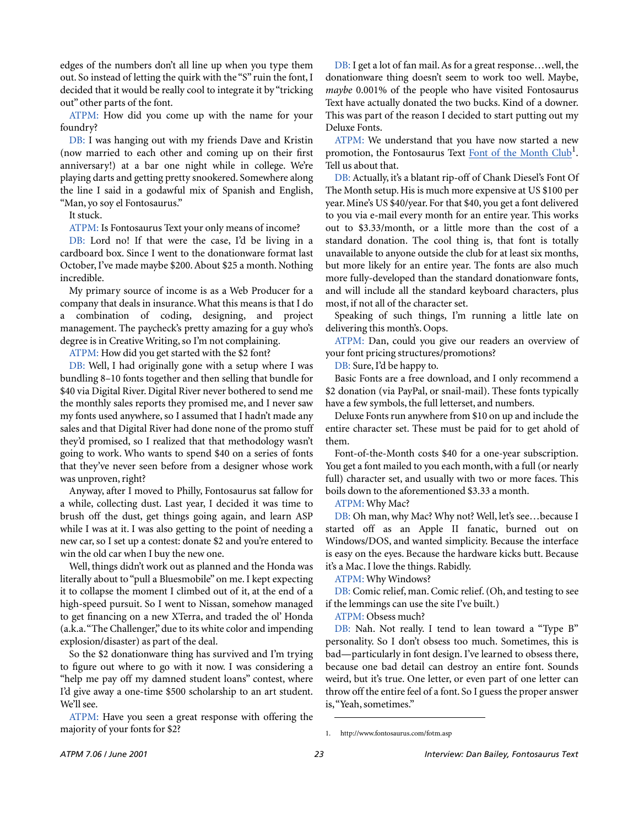edges of the numbers don't all line up when you type them out. So instead of letting the quirk with the "S" ruin the font, I decided that it would be really cool to integrate it by "tricking out" other parts of the font.

ATPM: How did you come up with the name for your foundry?

DB: I was hanging out with my friends Dave and Kristin (now married to each other and coming up on their first anniversary!) at a bar one night while in college. We're playing darts and getting pretty snookered. Somewhere along the line I said in a godawful mix of Spanish and English, "Man, yo soy el Fontosaurus."

It stuck.

ATPM: Is Fontosaurus Text your only means of income?

DB: Lord no! If that were the case, I'd be living in a cardboard box. Since I went to the donationware format last October, I've made maybe \$200. About \$25 a month. Nothing incredible.

My primary source of income is as a Web Producer for a company that deals in insurance. What this means is that I do a combination of coding, designing, and project management. The paycheck's pretty amazing for a guy who's degree is in Creative Writing, so I'm not complaining.

ATPM: How did you get started with the \$2 font?

DB: Well, I had originally gone with a setup where I was bundling 8–10 fonts together and then selling that bundle for \$40 via Digital River. Digital River never bothered to send me the monthly sales reports they promised me, and I never saw my fonts used anywhere, so I assumed that I hadn't made any sales and that Digital River had done none of the promo stuff they'd promised, so I realized that that methodology wasn't going to work. Who wants to spend \$40 on a series of fonts that they've never seen before from a designer whose work was unproven, right?

Anyway, after I moved to Philly, Fontosaurus sat fallow for a while, collecting dust. Last year, I decided it was time to brush off the dust, get things going again, and learn ASP while I was at it. I was also getting to the point of needing a new car, so I set up a contest: donate \$2 and you're entered to win the old car when I buy the new one.

Well, things didn't work out as planned and the Honda was literally about to "pull a Bluesmobile" on me. I kept expecting it to collapse the moment I climbed out of it, at the end of a high-speed pursuit. So I went to Nissan, somehow managed to get financing on a new XTerra, and traded the ol' Honda (a.k.a. "The Challenger," due to its white color and impending explosion/disaster) as part of the deal.

So the \$2 donationware thing has survived and I'm trying to figure out where to go with it now. I was considering a "help me pay off my damned student loans" contest, where I'd give away a one-time \$500 scholarship to an art student. We'll see.

ATPM: Have you seen a great response with offering the majority of your fonts for \$2?

DB: I get a lot of fan mail. As for a great response…well, the donationware thing doesn't seem to work too well. Maybe, *maybe* 0.001% of the people who have visited Fontosaurus Text have actually donated the two bucks. Kind of a downer. This was part of the reason I decided to start putting out my Deluxe Fonts.

ATPM: We understand that you have now started a new promotion, the Fontosaurus Text [Font of the Month Club](http://www.fontosaurus.com/fotm.asp)<sup>1</sup>. Tell us about that.

DB: Actually, it's a blatant rip-off of Chank Diesel's Font Of The Month setup. His is much more expensive at US \$100 per year. Mine's US \$40/year. For that \$40, you get a font delivered to you via e-mail every month for an entire year. This works out to \$3.33/month, or a little more than the cost of a standard donation. The cool thing is, that font is totally unavailable to anyone outside the club for at least six months, but more likely for an entire year. The fonts are also much more fully-developed than the standard donationware fonts, and will include all the standard keyboard characters, plus most, if not all of the character set.

Speaking of such things, I'm running a little late on delivering this month's. Oops.

ATPM: Dan, could you give our readers an overview of your font pricing structures/promotions?

DB: Sure, I'd be happy to.

Basic Fonts are a free download, and I only recommend a \$2 donation (via PayPal, or snail-mail). These fonts typically have a few symbols, the full letterset, and numbers.

Deluxe Fonts run anywhere from \$10 on up and include the entire character set. These must be paid for to get ahold of them.

Font-of-the-Month costs \$40 for a one-year subscription. You get a font mailed to you each month, with a full (or nearly full) character set, and usually with two or more faces. This boils down to the aforementioned \$3.33 a month.

ATPM: Why Mac?

DB: Oh man, why Mac? Why not? Well, let's see…because I started off as an Apple II fanatic, burned out on Windows/DOS, and wanted simplicity. Because the interface is easy on the eyes. Because the hardware kicks butt. Because it's a Mac. I love the things. Rabidly.

ATPM: Why Windows?

DB: Comic relief, man. Comic relief. (Oh, and testing to see if the lemmings can use the site I've built.)

ATPM: Obsess much?

DB: Nah. Not really. I tend to lean toward a "Type B" personality. So I don't obsess too much. Sometimes, this is bad—particularly in font design. I've learned to obsess there, because one bad detail can destroy an entire font. Sounds weird, but it's true. One letter, or even part of one letter can throw off the entire feel of a font. So I guess the proper answer is, "Yeah, sometimes."

<sup>1.</sup> http://www.fontosaurus.com/fotm.asp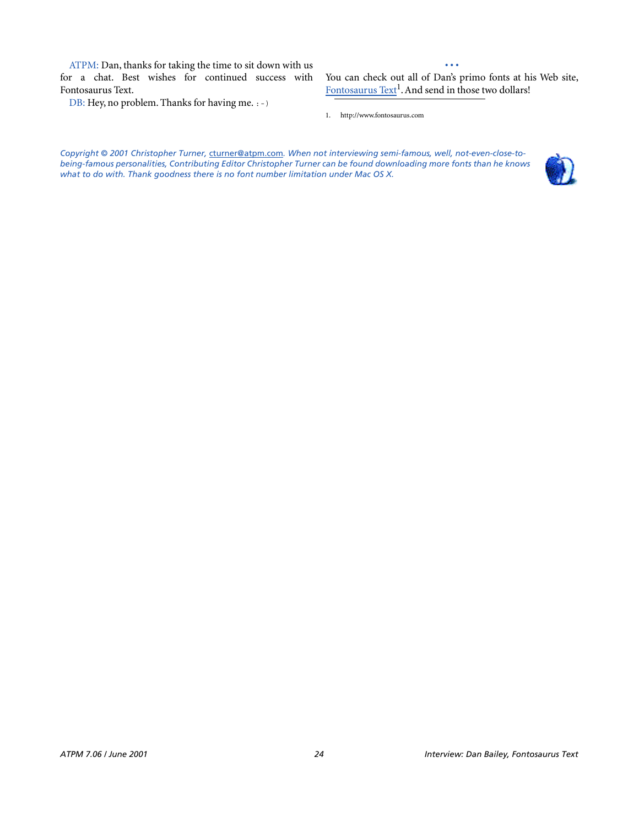ATPM: Dan, thanks for taking the time to sit down with us for a chat. Best wishes for continued success with Fontosaurus Text.

DB: Hey, no problem. Thanks for having me. : -)

**• • •** You can check out all of Dan's primo fonts at his Web site, [Fontosaurus Text](http://www.fontosaurus.com)<sup>1</sup>. And send in those two dollars!

1. http://www.fontosaurus.com

*Copyright © 2001 Christopher Turner,* [cturner@atpm.com](mailto:cturner@atpm.com)*. When not interviewing semi-famous, well, not-even-close-tobeing-famous personalities, Contributing Editor Christopher Turner can be found downloading more fonts than he knows what to do with. Thank goodness there is no font number limitation under Mac OS X.*

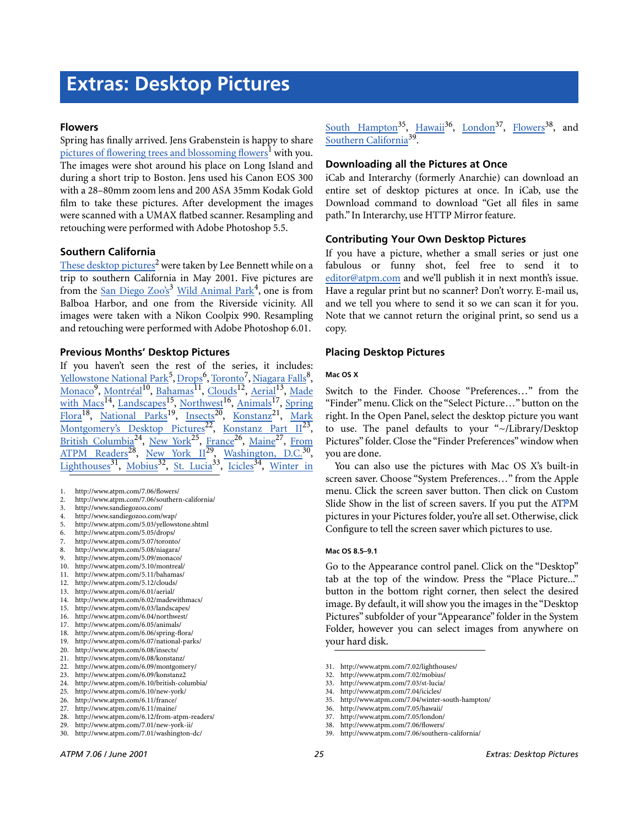# **Flowers**

Spring has finally arrived. Jens Grabenstein is happy to share [pictures of flowering trees and blossoming flowers](http://www.atpm.com/7.06/flowers/)<sup>1</sup> with you. The images were shot around his place on Long Island and during a short trip to Boston. Jens used his Canon EOS 300 with a 28–80mm zoom lens and 200 ASA 35mm Kodak Gold film to take these pictures. After development the images were scanned with a UMAX flatbed scanner. Resampling and retouching were performed with Adobe Photoshop 5.5.

# **Southern California**

[These desktop pictures](http://www.atpm.com/7.06/southern-california/)<sup>2</sup> were taken by Lee Bennett while on a trip to southern California in May 2001. Five pictures are from the San Diego  $Zoo's^3$  [Wild Animal Park](http://www.sandiegozoo.com/wap/)<sup>4</sup>, one is from Balboa Harbor, and one from the Riverside vicinity. All images were taken with a Nikon Coolpix 990. Resampling and retouching were performed with Adobe Photoshop 6.01.

# **Previous Months' Desktop Pictures**

If you haven't seen the rest of the series, it includes: <u>[Yellowstone National Park](http://www.atpm.com/5.03/yellowstone.shtml)<sup>5</sup>, [Drops](http://www.atpm.com/5.05/drops/)<sup>6</sup>, [Toronto](http://www.atpm.com/5.07/toronto/)<sup>7</sup>, [Niagara Falls](http://www.atpm.com/5.08/niagara/)<sup>8</sup>,</u> [Monaco](http://www.atpm.com/5.09/monaco/)<sup>9</sup>, [Montréal](http://www.atpm.com/5.10/montreal/)<sup>10</sup>, <u>[Bahamas](http://www.atpm.com/5.11/bahamas/)<sup>11</sup>, [Clouds](http://www.atpm.com/5.12/clouds/)<sup>12</sup>, [Aerial](http://www.atpm.com/6.01/aerial/)<sup>13</sup>, [Made](http://www.atpm.com/6.02/madewithmacs/)</u> [with Macs](http://www.atpm.com/6.02/madewithmacs/)<sup>14</sup>, [Landscapes](http://www.atpm.com/6.03/landscapes/)<sup>15</sup>, [Northwest](http://www.atpm.com/6.04/northwest/)<sup>16</sup>, [Animals](http://www.atpm.com/6.05/animals/)<sup>17</sup>, [Spring](http://www.atpm.com/6.06/spring-flora/) Flora<sup>18</sup>, National Parks<sup>19</sup>, Insects<sup>20</sup>, Konstanz<sup>21</sup>, [Mark](http://www.atpm.com/6.09/montgomery/) [Montgomery's Desktop Pictures](http://www.atpm.com/6.09/montgomery/)<sup>22</sup>, Konstanz Part II<sup>23</sup>, British Columbia<sup>24</sup>, [New York](http://www.atpm.com/6.10/new-york/)<sup>25</sup>, France<sup>26</sup>, [Maine](http://www.atpm.com/6.11/maine/)<sup>27</sup>, [From](http://www.atpm.com/6.12/from-atpm-readers/) [ATPM Readers](http://www.atpm.com/6.12/from-atpm-readers/)<sup>28</sup>, New York  $II^{29}$ , Washington, D.C.<sup>30</sup>, [Lighthouses](http://www.atpm.com/7.02/lighthouses/)<sup>31</sup>, [Mobius](http://www.atpm.com/7.02/mobius/)<sup>32</sup>, [St. Lucia](http://www.atpm.com/7.03/st-lucia/)<sup>33</sup>, [Icicles](http://www.atpm.com/7.04/icicles/)<sup>34</sup>, [Winter in](http://www.atpm.com/7.04/winter-south-hampton/)

- 1. http://www.atpm.com/7.06/flowers/
- 2. http://www.atpm.com/7.06/southern-california/
- 3. http://www.sandiegozoo.com/
- 4. http://www.sandiegozoo.com/wap/
- 5. http://www.atpm.com/5.03/yellowstone.shtml
- 6. http://www.atpm.com/5.05/drops/
- 7. http://www.atpm.com/5.07/toronto/
- 8. http://www.atpm.com/5.08/niagara/ 9. http://www.atpm.com/5.09/monaco/
- 10. http://www.atpm.com/5.10/montreal/
- 11. http://www.atpm.com/5.11/bahamas/
- 12. http://www.atpm.com/5.12/clouds/
- 13. http://www.atpm.com/6.01/aerial/
- 14. http://www.atpm.com/6.02/madewithmacs/
- 15. http://www.atpm.com/6.03/landscapes/
- 16. http://www.atpm.com/6.04/northwest/
- 17. http://www.atpm.com/6.05/animals/
- 18. http://www.atpm.com/6.06/spring-flora/
- 19. http://www.atpm.com/6.07/national-parks/
- 20. http://www.atpm.com/6.08/insects/
- 21. http://www.atpm.com/6.08/konstanz/
- 22. http://www.atpm.com/6.09/montgomery/
- 23. http://www.atpm.com/6.09/konstanz2 24. http://www.atpm.com/6.10/british-columbia/
- 25. http://www.atpm.com/6.10/new-york/
- 26. http://www.atpm.com/6.11/france/
- 27. http://www.atpm.com/6.11/maine/
- 28. http://www.atpm.com/6.12/from-atpm-readers/
- 29. http://www.atpm.com/7.01/new-york-ii/
- 30. http://www.atpm.com/7.01/washington-dc/

[South Hampton](http://www.atpm.com/7.04/winter-south-hampton/)<sup>35</sup>, [Hawaii](http://www.atpm.com/7.05/hawaii/)<sup>36</sup>, London<sup>37</sup>, [Flowers](http://www.atpm.com/7.06/flowers/)<sup>38</sup>, and [Southern California](http://www.atpm.com/7.06/southern-california/)39.

# **Downloading all the Pictures at Once**

iCab and Interarchy (formerly Anarchie) can download an entire set of desktop pictures at once. In iCab, use the Download command to download "Get all files in same path." In Interarchy, use HTTP Mirror feature.

# **Contributing Your Own Desktop Pictures**

If you have a picture, whether a small series or just one fabulous or funny shot, feel free to send it to [editor@atpm.com](mailto:editor@atpm.com) and we'll publish it in next month's issue. Have a regular print but no scanner? Don't worry. E-mail us, and we tell you where to send it so we can scan it for you. Note that we cannot return the original print, so send us a copy.

# **Placing Desktop Pictures**

# **Mac OS X**

Switch to the Finder. Choose "Preferences…" from the "Finder" menu. Click on the "Select Picture…" button on the right. In the Open Panel, select the desktop picture you want to use. The panel defaults to your "~/Library/Desktop Pictures" folder. Close the "Finder Preferences" window when you are done.

You can also use the pictures with Mac OS X's built-in screen saver. Choose "System Preferences…" from the Apple menu. Click the screen saver button. Then click on Custom Slide Show in the list of screen savers. If you put the ATPM pictures in your Pictures folder, you're all set. Otherwise, click Configure to tell the screen saver which pictures to use.

# **Mac OS 8.5–9.1**

Go to the Appearance control panel. Click on the "Desktop" tab at the top of the window. Press the "Place Picture..." button in the bottom right corner, then select the desired image. By default, it will show you the images in the "Desktop Pictures" subfolder of your "Appearance" folder in the System Folder, however you can select images from anywhere on your hard disk.

- 32. http://www.atpm.com/7.02/mobius/
- 33. http://www.atpm.com/7.03/st-lucia/
- 34. http://www.atpm.com/7.04/icicles/
- 35. http://www.atpm.com/7.04/winter-south-hampton/
- 36. http://www.atpm.com/7.05/hawaii/
- 37. http://www.atpm.com/7.05/london/
- 38. http://www.atpm.com/7.06/flowers/<br>39. http://www.atpm.com/7.06/southern
- http://www.atpm.com/7.06/southern-california/

<sup>31.</sup> http://www.atpm.com/7.02/lighthouses/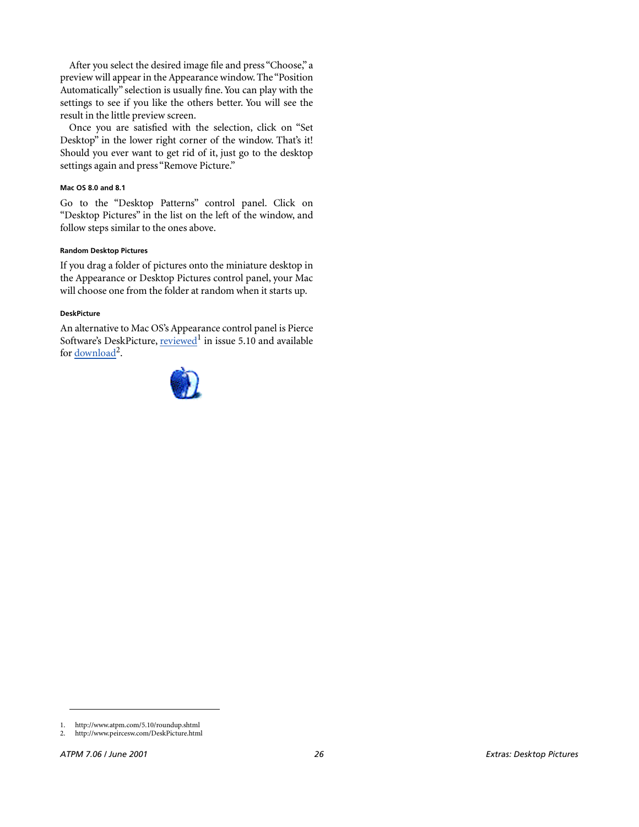After you select the desired image file and press "Choose," a preview will appear in the Appearance window. The "Position Automatically" selection is usually fine. You can play with the settings to see if you like the others better. You will see the result in the little preview screen.

Once you are satisfied with the selection, click on "Set Desktop" in the lower right corner of the window. That's it! Should you ever want to get rid of it, just go to the desktop settings again and press "Remove Picture."

#### **Mac OS 8.0 and 8.1**

Go to the "Desktop Patterns" control panel. Click on "Desktop Pictures" in the list on the left of the window, and follow steps similar to the ones above.

#### **Random Desktop Pictures**

If you drag a folder of pictures onto the miniature desktop in the Appearance or Desktop Pictures control panel, your Mac will choose one from the folder at random when it starts up.

#### **DeskPicture**

An alternative to Mac OS's Appearance control panel is Pierce Software's DeskPicture, [reviewed](http://www.atpm.com/5.10/roundup.shtml)<sup>1</sup> in issue 5.10 and available for <u>download</u><sup>2</sup>.



<sup>1.</sup> http://www.atpm.com/5.10/roundup.shtml

<sup>2.</sup> http://www.peircesw.com/DeskPicture.html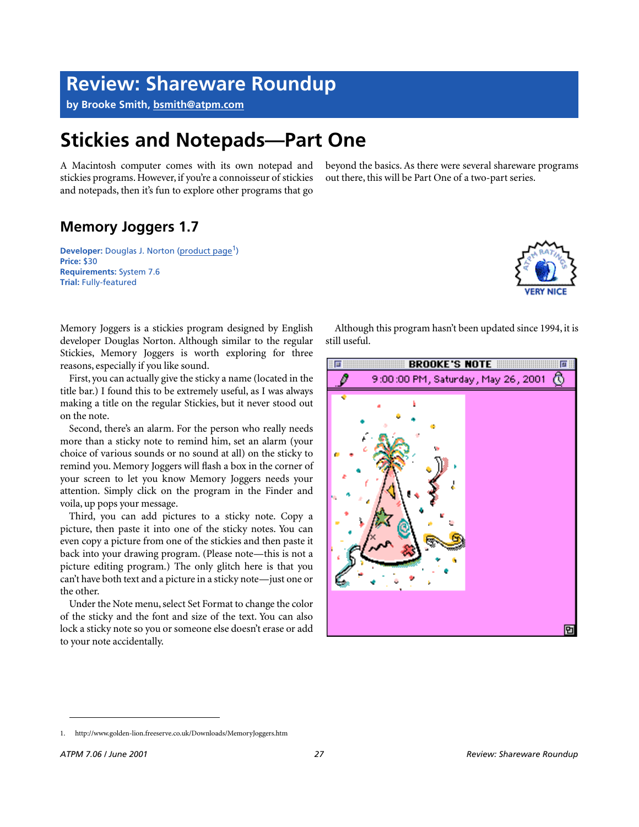# **Review: Shareware Roundup**

**by Brooke Smith, [bsmith@atpm.com](mailto:bsmith@atpm.com)**

# **Stickies and Notepads—Part One**

A Macintosh computer comes with its own notepad and stickies programs. However, if you're a connoisseur of stickies and notepads, then it's fun to explore other programs that go

beyond the basics. As there were several shareware programs out there, this will be Part One of a two-part series.

# **Memory Joggers 1.7**

**Developer:** Douglas J. Norton [\(product page](http://www.golden-lion.freeserve.co.uk/Downloads/MemoryJoggers.htm)<sup>1</sup>) **Price:** \$30 **Requirements:** System 7.6 **Trial:** Fully-featured



Memory Joggers is a stickies program designed by English developer Douglas Norton. Although similar to the regular Stickies, Memory Joggers is worth exploring for three reasons, especially if you like sound.

First, you can actually give the sticky a name (located in the title bar.) I found this to be extremely useful, as I was always making a title on the regular Stickies, but it never stood out on the note.

Second, there's an alarm. For the person who really needs more than a sticky note to remind him, set an alarm (your choice of various sounds or no sound at all) on the sticky to remind you. Memory Joggers will flash a box in the corner of your screen to let you know Memory Joggers needs your attention. Simply click on the program in the Finder and voila, up pops your message.

Third, you can add pictures to a sticky note. Copy a picture, then paste it into one of the sticky notes. You can even copy a picture from one of the stickies and then paste it back into your drawing program. (Please note—this is not a picture editing program.) The only glitch here is that you can't have both text and a picture in a sticky note—just one or the other.

Under the Note menu, select Set Format to change the color of the sticky and the font and size of the text. You can also lock a sticky note so you or someone else doesn't erase or add to your note accidentally.

Although this program hasn't been updated since 1994, it is still useful.



<sup>1.</sup> http://www.golden-lion.freeserve.co.uk/Downloads/MemoryJoggers.htm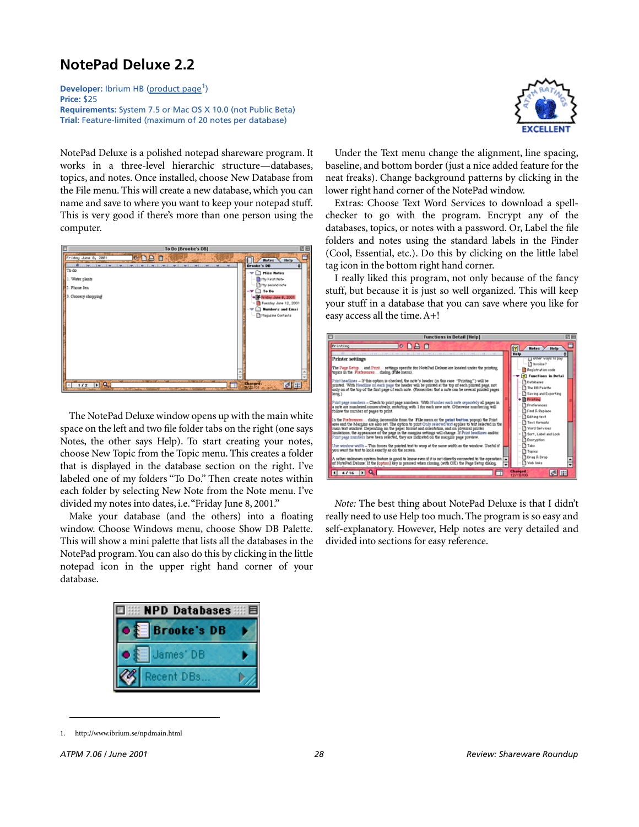# **NotePad Deluxe 2.2**

**Developer:** Ibrium HB ([product page](http://www.ibrium.se/npdmain.html)<sup>1</sup>) **Price:** \$25 **Requirements:** System 7.5 or Mac OS X 10.0 (not Public Beta) **Trial:** Feature-limited (maximum of 20 notes per database)

NotePad Deluxe is a polished notepad shareware program. It works in a three-level hierarchic structure—databases, topics, and notes. Once installed, choose New Database from the File menu. This will create a new database, which you can name and save to where you want to keep your notepad stuff. This is very good if there's more than one person using the computer.



The NotePad Deluxe window opens up with the main white space on the left and two file folder tabs on the right (one says Notes, the other says Help). To start creating your notes, choose New Topic from the Topic menu. This creates a folder that is displayed in the database section on the right. I've labeled one of my folders "To Do." Then create notes within each folder by selecting New Note from the Note menu. I've divided my notes into dates, i.e. "Friday June 8, 2001."

Make your database (and the others) into a floating window. Choose Windows menu, choose Show DB Palette. This will show a mini palette that lists all the databases in the NotePad program. You can also do this by clicking in the little notepad icon in the upper right hand corner of your database.





Under the Text menu change the alignment, line spacing, baseline, and bottom border (just a nice added feature for the neat freaks). Change background patterns by clicking in the lower right hand corner of the NotePad window.

Extras: Choose Text Word Services to download a spellchecker to go with the program. Encrypt any of the databases, topics, or notes with a password. Or, Label the file folders and notes using the standard labels in the Finder (Cool, Essential, etc.). Do this by clicking on the little label tag icon in the bottom right hand corner.

I really liked this program, not only because of the fancy stuff, but because it is just so well organized. This will keep your stuff in a database that you can save where you like for easy access all the time. A+!

| <b>Functions in Detail [Help]</b>                                                                                                                                                                            | 回目                                                  |
|--------------------------------------------------------------------------------------------------------------------------------------------------------------------------------------------------------------|-----------------------------------------------------|
| le NA A<br>Printing                                                                                                                                                                                          | Notes ><br>He lo                                    |
| to fill a substitution of the calledge interest constitution in a real capacity and second constitution of the                                                                                               | <b>Help</b>                                         |
| <b>Printer settings</b>                                                                                                                                                                                      | - ITI novel, Attile se bah.<br><sup>2</sup> hypice? |
| The Page Setup and Print settings specific for NotePad Debuxe are located under the printing.<br>topics in the Preferences dialog (File menu).                                                               | Registration code                                   |
| Print headlines - If this option is checked, the note's header (in this case "Printing") will be                                                                                                             | <b>9</b> Functions in Detai<br>- Databases          |
| printed. With Headline on each page the header will be printed at the top of each printed page, not<br>only on at the top of the first page of each note. (Remember that a note can be several printed pages | The DB Palette                                      |
| long.)                                                                                                                                                                                                       | Saving and Exporting                                |
| Print page numbers - Check to print page numbers. With Number each note separately all pages in                                                                                                              | + Printing<br>Preferences                           |
| a note are numbered consecutively, restarting with 1 for each new note. Otherwise numbering will<br>follow the number of pages to print.                                                                     | Find & Replace                                      |
| In the Preferences dialog (accessible from the File menu or the perint button popus) the Print                                                                                                               | - Editing text<br>Text formats                      |
| area and the Margins are also set. The option to print Only selected text applies to text selected in the<br>main text window. Depending on the paper format and orientation, and on physical printer        | <b>Tal World Services</b>                           |
| limitations, the appearance of the page in the margins settings will change. If Print headlines and/or                                                                                                       | + 1 Sort, Label and Look                            |
| Print page numbers have been selected, they are indicated on the margins page preview.                                                                                                                       | Eneryption                                          |
| Use window width - This forces the printed text to wrap at the same width as the window. Useful if<br>you want the text to look exactly as on the screen.                                                    | $-\prod$ Tabs                                       |
|                                                                                                                                                                                                              | $-$ Topics<br>Orag & Drop                           |
| A rather unknown system feature is good to know even if it is not directly connected to the operation [<br>of NotePad Deluxe: If the [option] key is pressed when closing (with OK) the Page Setup dialog,   | <b>Ta Web links</b>                                 |
| 14416                                                                                                                                                                                                        | <b>Changed:</b><br>61 11<br>12/18/00                |
|                                                                                                                                                                                                              |                                                     |

*Note:* The best thing about NotePad Deluxe is that I didn't really need to use Help too much. The program is so easy and self-explanatory. However, Help notes are very detailed and divided into sections for easy reference.

<sup>1.</sup> http://www.ibrium.se/npdmain.html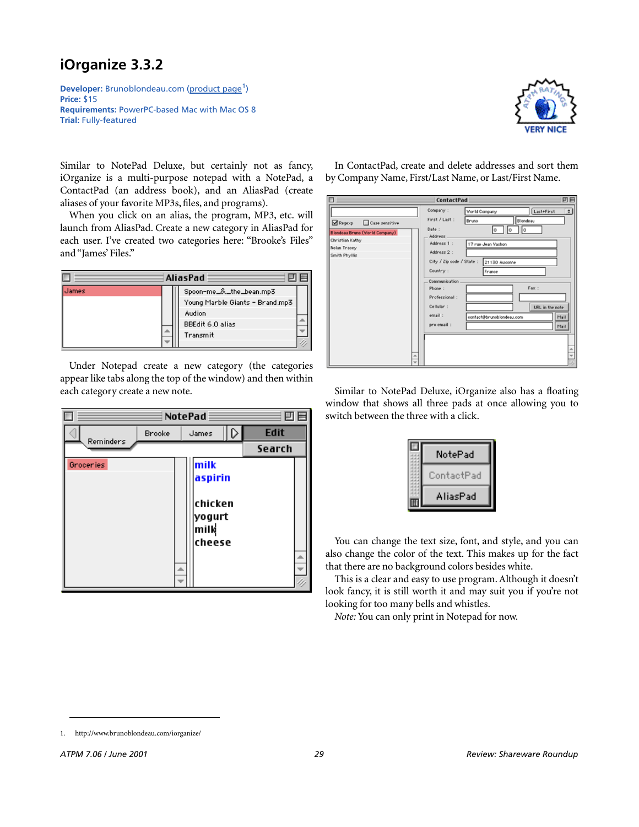# **iOrganize 3.3.2**

**Developer:** Brunoblondeau.com ([product page](http://www.brunoblondeau.com/iorganize/)<sup>1</sup>) **Price:** \$15 **Requirements:** PowerPC-based Mac with Mac OS 8 **Trial:** Fully-featured



Similar to NotePad Deluxe, but certainly not as fancy, iOrganize is a multi-purpose notepad with a NotePad, a ContactPad (an address book), and an AliasPad (create aliases of your favorite MP3s, files, and programs).

When you click on an alias, the program, MP3, etc. will launch from AliasPad. Create a new category in AliasPad for each user. I've created two categories here: "Brooke's Files" and "James' Files."



Under Notepad create a new category (the categories appear like tabs along the top of the window) and then within each category create a new note.



In ContactPad, create and delete addresses and sort them by Company Name, First/Last Name, or Last/First Name.

| ContactPad<br>巴門                                                                                                                                                                                                                                                                                                              |                                                                                                                                                                                                |  |  |
|-------------------------------------------------------------------------------------------------------------------------------------------------------------------------------------------------------------------------------------------------------------------------------------------------------------------------------|------------------------------------------------------------------------------------------------------------------------------------------------------------------------------------------------|--|--|
| Company:<br>First / Last :<br>Regexp<br>Case sensitive<br>Date:<br>Blondeau Bruno (Vorld Company)<br>Address<br>Christian Kathy<br>Address 1 :<br>Nolan Tracey<br>Address 2 :<br>Smith Phyllis<br>City / Zip code / State :<br>Country:<br>Communication<br>Phone:<br>Professional:<br>Cellular:<br>email:<br>pro email:<br>w | ٠I<br>Last+First<br>World Company<br>Blondeau<br>Bruno<br>o<br>o<br>O<br>17 rue Jean Vachon<br>21130 Auxonne<br>France<br>Fax:<br>URL in the note<br>contact@brunoblondeau.com<br>Mail<br>Mail |  |  |

Similar to NotePad Deluxe, iOrganize also has a floating window that shows all three pads at once allowing you to switch between the three with a click.

| NotePad    |  |
|------------|--|
| :ontactPad |  |
| AliasPad   |  |

You can change the text size, font, and style, and you can also change the color of the text. This makes up for the fact that there are no background colors besides white.

This is a clear and easy to use program. Although it doesn't look fancy, it is still worth it and may suit you if you're not looking for too many bells and whistles.

*Note:* You can only print in Notepad for now.

<sup>1.</sup> http://www.brunoblondeau.com/iorganize/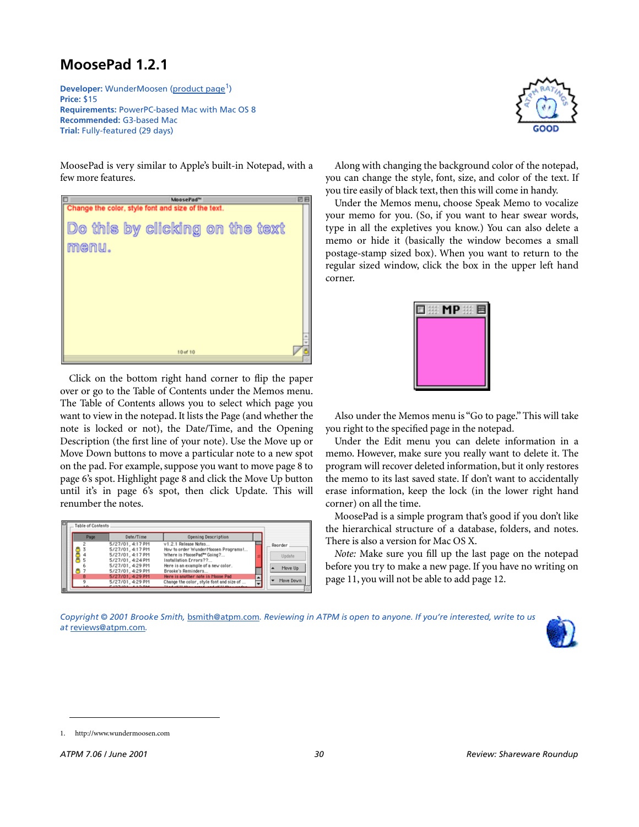# **MoosePad 1.2.1**

**Developer:** WunderMoosen ([product page](http://www.wundermoosen.com)<sup>1</sup>) **Price:** \$15 **Requirements:** PowerPC-based Mac with Mac OS 8 **Recommended:** G3-based Mac **Trial:** Fully-featured (29 days)

MoosePad is very similar to Apple's built-in Notepad, with a few more features.



Click on the bottom right hand corner to flip the paper over or go to the Table of Contents under the Memos menu. The Table of Contents allows you to select which page you want to view in the notepad. It lists the Page (and whether the note is locked or not), the Date/Time, and the Opening Description (the first line of your note). Use the Move up or Move Down buttons to move a particular note to a new spot on the pad. For example, suppose you want to move page 8 to page 6's spot. Highlight page 8 and click the Move Up button until it's in page 6's spot, then click Update. This will renumber the notes.

| <b>Table of Contents</b> |                                       |                                                                 |           |
|--------------------------|---------------------------------------|-----------------------------------------------------------------|-----------|
| Page                     | Date/Time                             | <b>Opening Description</b>                                      |           |
|                          | 5/27/01.4:17 PM<br>5/27/01.4:17 PM    | v1.2.1 Release Notes<br>How to order WunderMoosen Programs !    | Reorder   |
|                          | 5/27/01, 4:17 PM<br>5/27/01.4:24 PM   | Where is MoosePad <sup>na</sup> Going?<br>Installation Errors?? | Undate    |
|                          | 5/27/01.4:29 PM                       | Here is an example of a new color.                              | Move Up   |
|                          | 5/27/01.4:29 PM<br>5/27/01, 4:29 PM   | Brooke's Reminders<br>Here is another note in Moose Pad         | Move Down |
|                          | 5/27/01, 4:29 PM<br>2.127.121 4.12.24 | Change the color, style font and size of                        |           |



Along with changing the background color of the notepad, you can change the style, font, size, and color of the text. If you tire easily of black text, then this will come in handy.

Under the Memos menu, choose Speak Memo to vocalize your memo for you. (So, if you want to hear swear words, type in all the expletives you know.) You can also delete a memo or hide it (basically the window becomes a small postage-stamp sized box). When you want to return to the regular sized window, click the box in the upper left hand corner.



Also under the Memos menu is "Go to page." This will take you right to the specified page in the notepad.

Under the Edit menu you can delete information in a memo. However, make sure you really want to delete it. The program will recover deleted information, but it only restores the memo to its last saved state. If don't want to accidentally erase information, keep the lock (in the lower right hand corner) on all the time.

MoosePad is a simple program that's good if you don't like the hierarchical structure of a database, folders, and notes. There is also a version for Mac OS X.

*Note:* Make sure you fill up the last page on the notepad before you try to make a new page. If you have no writing on page 11, you will not be able to add page 12.





<sup>1.</sup> http://www.wundermoosen.com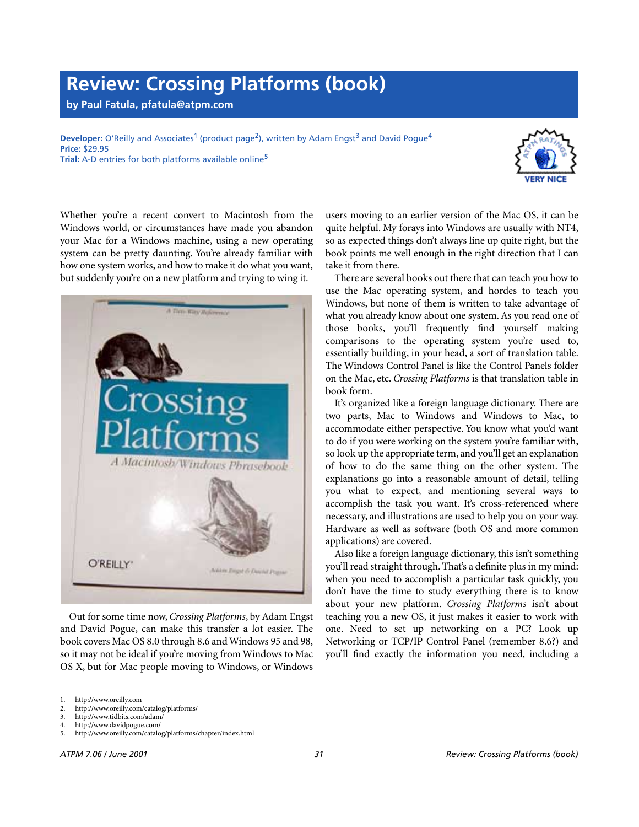# **Review: Crossing Platforms (book)**

**by Paul Fatula, [pfatula@atpm.com](mailto:pfatula@atpm.com)**

Developer: [O'Reilly and Associates](http://www.oreilly.com)<sup>1</sup> [\(product page](http://www.oreilly.com/catalog/platforms/)<sup>2</sup>), written by Adam Engst<sup>3</sup> and [David Pogue](http://www.davidpogue.com/)<sup>4</sup> **Price:** \$29.95 **Trial:** A-D entries for both platforms available [online](http://www.oreilly.com/catalog/platforms/chapter/index.html)<sup>5</sup>



Whether you're a recent convert to Macintosh from the Windows world, or circumstances have made you abandon your Mac for a Windows machine, using a new operating system can be pretty daunting. You're already familiar with how one system works, and how to make it do what you want, but suddenly you're on a new platform and trying to wing it.



Out for some time now, *Crossing Platforms*, by Adam Engst and David Pogue, can make this transfer a lot easier. The book covers Mac OS 8.0 through 8.6 and Windows 95 and 98, so it may not be ideal if you're moving from Windows to Mac OS X, but for Mac people moving to Windows, or Windows

users moving to an earlier version of the Mac OS, it can be quite helpful. My forays into Windows are usually with NT4, so as expected things don't always line up quite right, but the book points me well enough in the right direction that I can take it from there.

There are several books out there that can teach you how to use the Mac operating system, and hordes to teach you Windows, but none of them is written to take advantage of what you already know about one system. As you read one of those books, you'll frequently find yourself making comparisons to the operating system you're used to, essentially building, in your head, a sort of translation table. The Windows Control Panel is like the Control Panels folder on the Mac, etc. *Crossing Platforms* is that translation table in book form.

It's organized like a foreign language dictionary. There are two parts, Mac to Windows and Windows to Mac, to accommodate either perspective. You know what you'd want to do if you were working on the system you're familiar with, so look up the appropriate term, and you'll get an explanation of how to do the same thing on the other system. The explanations go into a reasonable amount of detail, telling you what to expect, and mentioning several ways to accomplish the task you want. It's cross-referenced where necessary, and illustrations are used to help you on your way. Hardware as well as software (both OS and more common applications) are covered.

Also like a foreign language dictionary, this isn't something you'll read straight through. That's a definite plus in my mind: when you need to accomplish a particular task quickly, you don't have the time to study everything there is to know about your new platform. *Crossing Platforms* isn't about teaching you a new OS, it just makes it easier to work with one. Need to set up networking on a PC? Look up Networking or TCP/IP Control Panel (remember 8.6?) and you'll find exactly the information you need, including a

<sup>1.</sup> http://www.oreilly.com

<sup>2.</sup> http://www.oreilly.com/catalog/platforms/

<sup>3.</sup> http://www.tidbits.com/adam/

<sup>4.</sup> http://www.davidpogue.com/

<sup>5.</sup> http://www.oreilly.com/catalog/platforms/chapter/index.html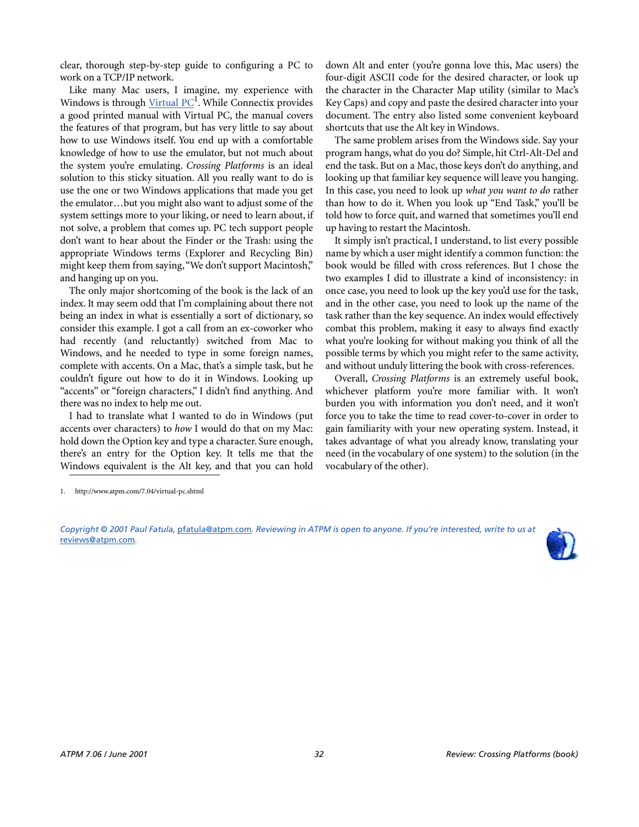clear, thorough step-by-step guide to configuring a PC to work on a TCP/IP network.

Like many Mac users, I imagine, my experience with Windows is through [Virtual PC](http://www.atpm.com/7.04/virtual-pc.shtml)<sup>1</sup>. While Connectix provides a good printed manual with Virtual PC, the manual covers the features of that program, but has very little to say about how to use Windows itself. You end up with a comfortable knowledge of how to use the emulator, but not much about the system you're emulating. *Crossing Platforms* is an ideal solution to this sticky situation. All you really want to do is use the one or two Windows applications that made you get the emulator…but you might also want to adjust some of the system settings more to your liking, or need to learn about, if not solve, a problem that comes up. PC tech support people don't want to hear about the Finder or the Trash: using the appropriate Windows terms (Explorer and Recycling Bin) might keep them from saying, "We don't support Macintosh," and hanging up on you.

The only major shortcoming of the book is the lack of an index. It may seem odd that I'm complaining about there not being an index in what is essentially a sort of dictionary, so consider this example. I got a call from an ex-coworker who had recently (and reluctantly) switched from Mac to Windows, and he needed to type in some foreign names, complete with accents. On a Mac, that's a simple task, but he couldn't figure out how to do it in Windows. Looking up "accents" or "foreign characters," I didn't find anything. And there was no index to help me out.

I had to translate what I wanted to do in Windows (put accents over characters) to *how* I would do that on my Mac: hold down the Option key and type a character. Sure enough, there's an entry for the Option key. It tells me that the Windows equivalent is the Alt key, and that you can hold

down Alt and enter (you're gonna love this, Mac users) the four-digit ASCII code for the desired character, or look up the character in the Character Map utility (similar to Mac's Key Caps) and copy and paste the desired character into your document. The entry also listed some convenient keyboard shortcuts that use the Alt key in Windows.

The same problem arises from the Windows side. Say your program hangs, what do you do? Simple, hit Ctrl-Alt-Del and end the task. But on a Mac, those keys don't do anything, and looking up that familiar key sequence will leave you hanging. In this case, you need to look up *what you want to do* rather than how to do it. When you look up "End Task," you'll be told how to force quit, and warned that sometimes you'll end up having to restart the Macintosh.

It simply isn't practical, I understand, to list every possible name by which a user might identify a common function: the book would be filled with cross references. But I chose the two examples I did to illustrate a kind of inconsistency: in once case, you need to look up the key you'd use for the task, and in the other case, you need to look up the name of the task rather than the key sequence. An index would effectively combat this problem, making it easy to always find exactly what you're looking for without making you think of all the possible terms by which you might refer to the same activity, and without unduly littering the book with cross-references.

Overall, *Crossing Platforms* is an extremely useful book, whichever platform you're more familiar with. It won't burden you with information you don't need, and it won't force you to take the time to read cover-to-cover in order to gain familiarity with your new operating system. Instead, it takes advantage of what you already know, translating your need (in the vocabulary of one system) to the solution (in the vocabulary of the other).

*Copyright © 2001 Paul Fatula,* [pfatula@atpm.com](mailto:pfatula@atpm.com)*. Reviewing in ATPM is open to anyone. If you're interested, write to us at*  [reviews@atpm.com](mailto:reviews@atpm.com)*.*



<sup>1.</sup> http://www.atpm.com/7.04/virtual-pc.shtml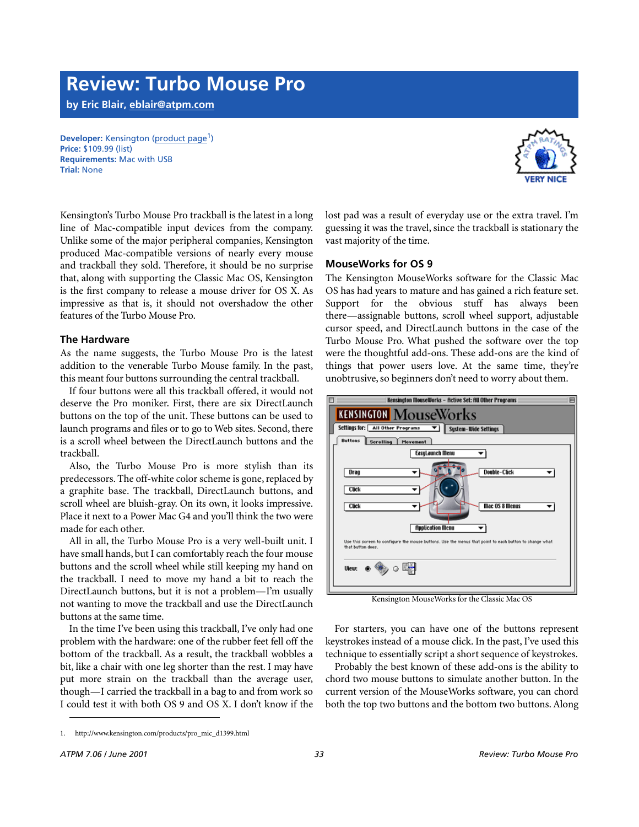# **Review: Turbo Mouse Pro**

**by Eric Blair, [eblair@atpm.com](mailto:eblair@atpm.com)**

**Developer:** Kensington [\(product page](http://www.kensington.com/products/pro_mic_d1399.html)<sup>1</sup>) **Price:** \$109.99 (list) **Requirements:** Mac with USB **Trial:** None



Kensington's Turbo Mouse Pro trackball is the latest in a long line of Mac-compatible input devices from the company. Unlike some of the major peripheral companies, Kensington produced Mac-compatible versions of nearly every mouse and trackball they sold. Therefore, it should be no surprise that, along with supporting the Classic Mac OS, Kensington is the first company to release a mouse driver for OS X. As impressive as that is, it should not overshadow the other features of the Turbo Mouse Pro.

# **The Hardware**

As the name suggests, the Turbo Mouse Pro is the latest addition to the venerable Turbo Mouse family. In the past, this meant four buttons surrounding the central trackball.

If four buttons were all this trackball offered, it would not deserve the Pro moniker. First, there are six DirectLaunch buttons on the top of the unit. These buttons can be used to launch programs and files or to go to Web sites. Second, there is a scroll wheel between the DirectLaunch buttons and the trackball.

Also, the Turbo Mouse Pro is more stylish than its predecessors. The off-white color scheme is gone, replaced by a graphite base. The trackball, DirectLaunch buttons, and scroll wheel are bluish-gray. On its own, it looks impressive. Place it next to a Power Mac G4 and you'll think the two were made for each other.

All in all, the Turbo Mouse Pro is a very well-built unit. I have small hands, but I can comfortably reach the four mouse buttons and the scroll wheel while still keeping my hand on the trackball. I need to move my hand a bit to reach the DirectLaunch buttons, but it is not a problem—I'm usually not wanting to move the trackball and use the DirectLaunch buttons at the same time.

In the time I've been using this trackball, I've only had one problem with the hardware: one of the rubber feet fell off the bottom of the trackball. As a result, the trackball wobbles a bit, like a chair with one leg shorter than the rest. I may have put more strain on the trackball than the average user, though—I carried the trackball in a bag to and from work so I could test it with both OS 9 and OS X. I don't know if the

lost pad was a result of everyday use or the extra travel. I'm guessing it was the travel, since the trackball is stationary the vast majority of the time.

# **MouseWorks for OS 9**

The Kensington MouseWorks software for the Classic Mac OS has had years to mature and has gained a rich feature set. Support for the obvious stuff has always been there—assignable buttons, scroll wheel support, adjustable cursor speed, and DirectLaunch buttons in the case of the Turbo Mouse Pro. What pushed the software over the top were the thoughtful add-ons. These add-ons are the kind of things that power users love. At the same time, they're unobtrusive, so beginners don't need to worry about them.



Kensington MouseWorks for the Classic Mac OS

For starters, you can have one of the buttons represent keystrokes instead of a mouse click. In the past, I've used this technique to essentially script a short sequence of keystrokes.

Probably the best known of these add-ons is the ability to chord two mouse buttons to simulate another button. In the current version of the MouseWorks software, you can chord both the top two buttons and the bottom two buttons. Along

<sup>1.</sup> http://www.kensington.com/products/pro\_mic\_d1399.html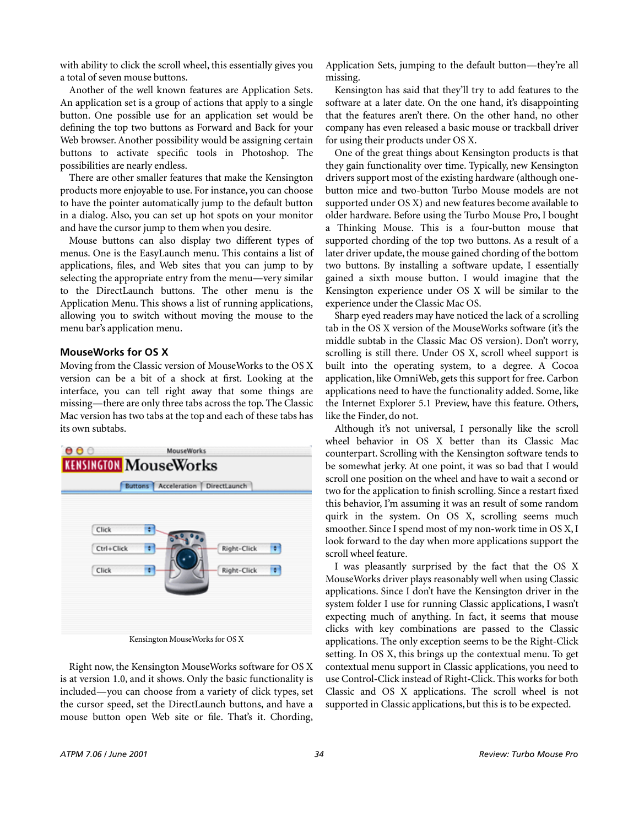with ability to click the scroll wheel, this essentially gives you a total of seven mouse buttons.

Another of the well known features are Application Sets. An application set is a group of actions that apply to a single button. One possible use for an application set would be defining the top two buttons as Forward and Back for your Web browser. Another possibility would be assigning certain buttons to activate specific tools in Photoshop. The possibilities are nearly endless.

There are other smaller features that make the Kensington products more enjoyable to use. For instance, you can choose to have the pointer automatically jump to the default button in a dialog. Also, you can set up hot spots on your monitor and have the cursor jump to them when you desire.

Mouse buttons can also display two different types of menus. One is the EasyLaunch menu. This contains a list of applications, files, and Web sites that you can jump to by selecting the appropriate entry from the menu—very similar to the DirectLaunch buttons. The other menu is the Application Menu. This shows a list of running applications, allowing you to switch without moving the mouse to the menu bar's application menu.

# **MouseWorks for OS X**

Moving from the Classic version of MouseWorks to the OS X version can be a bit of a shock at first. Looking at the interface, you can tell right away that some things are missing—there are only three tabs across the top. The Classic Mac version has two tabs at the top and each of these tabs has its own subtabs.



Kensington MouseWorks for OS X

Right now, the Kensington MouseWorks software for OS X is at version 1.0, and it shows. Only the basic functionality is included—you can choose from a variety of click types, set the cursor speed, set the DirectLaunch buttons, and have a mouse button open Web site or file. That's it. Chording,

Application Sets, jumping to the default button—they're all missing.

Kensington has said that they'll try to add features to the software at a later date. On the one hand, it's disappointing that the features aren't there. On the other hand, no other company has even released a basic mouse or trackball driver for using their products under OS X.

One of the great things about Kensington products is that they gain functionality over time. Typically, new Kensington drivers support most of the existing hardware (although onebutton mice and two-button Turbo Mouse models are not supported under OS X) and new features become available to older hardware. Before using the Turbo Mouse Pro, I bought a Thinking Mouse. This is a four-button mouse that supported chording of the top two buttons. As a result of a later driver update, the mouse gained chording of the bottom two buttons. By installing a software update, I essentially gained a sixth mouse button. I would imagine that the Kensington experience under OS X will be similar to the experience under the Classic Mac OS.

Sharp eyed readers may have noticed the lack of a scrolling tab in the OS X version of the MouseWorks software (it's the middle subtab in the Classic Mac OS version). Don't worry, scrolling is still there. Under OS X, scroll wheel support is built into the operating system, to a degree. A Cocoa application, like OmniWeb, gets this support for free. Carbon applications need to have the functionality added. Some, like the Internet Explorer 5.1 Preview, have this feature. Others, like the Finder, do not.

Although it's not universal, I personally like the scroll wheel behavior in OS X better than its Classic Mac counterpart. Scrolling with the Kensington software tends to be somewhat jerky. At one point, it was so bad that I would scroll one position on the wheel and have to wait a second or two for the application to finish scrolling. Since a restart fixed this behavior, I'm assuming it was an result of some random quirk in the system. On OS X, scrolling seems much smoother. Since I spend most of my non-work time in OS X, I look forward to the day when more applications support the scroll wheel feature.

I was pleasantly surprised by the fact that the OS X MouseWorks driver plays reasonably well when using Classic applications. Since I don't have the Kensington driver in the system folder I use for running Classic applications, I wasn't expecting much of anything. In fact, it seems that mouse clicks with key combinations are passed to the Classic applications. The only exception seems to be the Right-Click setting. In OS X, this brings up the contextual menu. To get contextual menu support in Classic applications, you need to use Control-Click instead of Right-Click. This works for both Classic and OS X applications. The scroll wheel is not supported in Classic applications, but this is to be expected.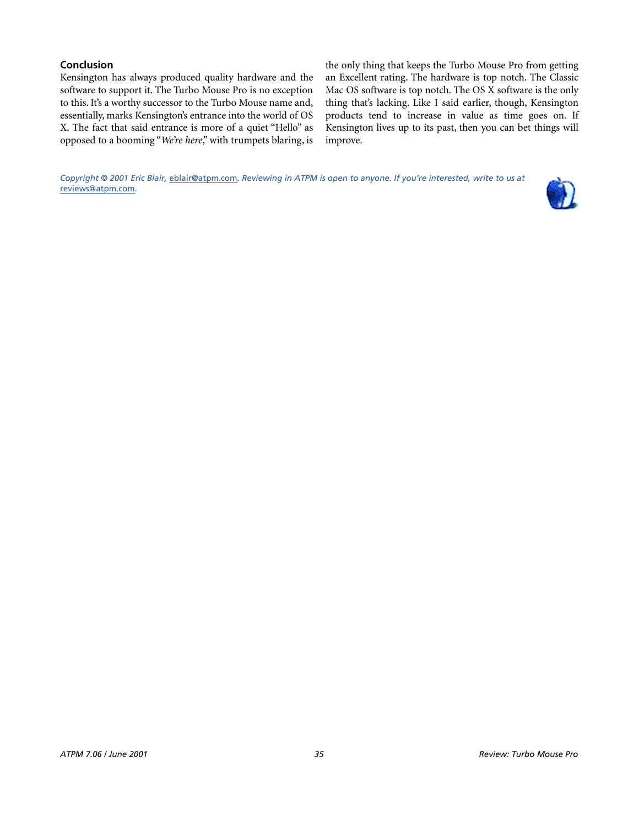# **Conclusion**

Kensington has always produced quality hardware and the software to support it. The Turbo Mouse Pro is no exception to this. It's a worthy successor to the Turbo Mouse name and, essentially, marks Kensington's entrance into the world of OS X. The fact that said entrance is more of a quiet "Hello" as opposed to a booming "*We're here*," with trumpets blaring, is the only thing that keeps the Turbo Mouse Pro from getting an Excellent rating. The hardware is top notch. The Classic Mac OS software is top notch. The OS X software is the only thing that's lacking. Like I said earlier, though, Kensington products tend to increase in value as time goes on. If Kensington lives up to its past, then you can bet things will improve.

*Copyright © 2001 Eric Blair,* [eblair@atpm.com](mailto:eblair@atpm.com)*. Reviewing in ATPM is open to anyone. If you're interested, write to us at*  [reviews@atpm.com](mailto:reviews@atpm.com)*.*

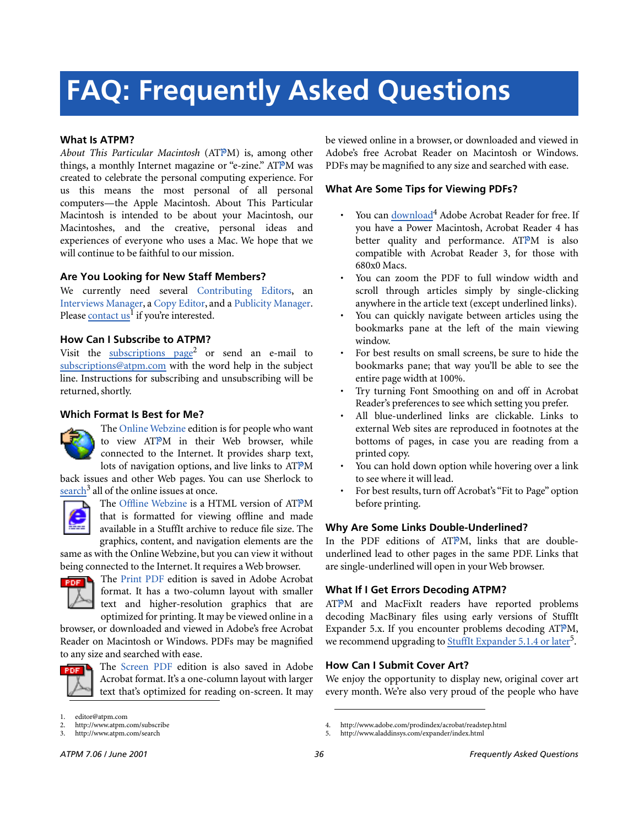# **FAQ: Frequently Asked Questions**

# **What Is ATPM?**

*About This Particular Macintosh* (ATPM) is, among other things, a monthly Internet magazine or "e-zine." ATPM was created to celebrate the personal computing experience. For us this means the most personal of all personal computers—the Apple Macintosh. About This Particular Macintosh is intended to be about your Macintosh, our Macintoshes, and the creative, personal ideas and experiences of everyone who uses a Mac. We hope that we will continue to be faithful to our mission.

# **Are You Looking for New Staff Members?**

We currently need several Contributing Editors, an Interviews Manager, a Copy Editor, and a Publicity Manager. Please [contact us](mailto:editor@atpm.com)<sup>I</sup> if you're interested.

# **How Can I Subscribe to ATPM?**

Visit the [subscriptions page](http://www.atpm.com/subscribe)<sup>2</sup> or send an e-mail to [subscriptions@atpm.com](mailto:subscriptions@atpm.com) with the word help in the subject line. Instructions for subscribing and unsubscribing will be returned, shortly.

# **Which Format Is Best for Me?**



The Online Webzine edition is for people who want to view ATPM in their Web browser, while connected to the Internet. It provides sharp text, lots of navigation options, and live links to ATPM

back issues and other Web pages. You can use Sherlock to  $\frac{\text{search}^3}{\text{all}}$  $\frac{\text{search}^3}{\text{all}}$  $\frac{\text{search}^3}{\text{all}}$  all of the online issues at once.



The Offline Webzine is a HTML version of ATPM that is formatted for viewing offline and made available in a StuffIt archive to reduce file size. The graphics, content, and navigation elements are the

same as with the Online Webzine, but you can view it without being connected to the Internet. It requires a Web browser.



The Print PDF edition is saved in Adobe Acrobat format. It has a two-column layout with smaller text and higher-resolution graphics that are optimized for printing. It may be viewed online in a

browser, or downloaded and viewed in Adobe's free Acrobat Reader on Macintosh or Windows. PDFs may be magnified to any size and searched with ease.



The Screen PDF edition is also saved in Adobe Acrobat format. It's a one-column layout with larger text that's optimized for reading on-screen. It may be viewed online in a browser, or downloaded and viewed in Adobe's free Acrobat Reader on Macintosh or Windows. PDFs may be magnified to any size and searched with ease.

# **What Are Some Tips for Viewing PDFs?**

- You can [download](http://www.adobe.com/prodindex/acrobat/readstep.html)<sup>4</sup> Adobe Acrobat Reader for free. If you have a Power Macintosh, Acrobat Reader 4 has better quality and performance. ATPM is also compatible with Acrobat Reader 3, for those with 680x0 Macs.
- You can zoom the PDF to full window width and scroll through articles simply by single-clicking anywhere in the article text (except underlined links).
- You can quickly navigate between articles using the bookmarks pane at the left of the main viewing window.
- For best results on small screens, be sure to hide the bookmarks pane; that way you'll be able to see the entire page width at 100%.
- Try turning Font Smoothing on and off in Acrobat Reader's preferences to see which setting you prefer.
- All blue-underlined links are clickable. Links to external Web sites are reproduced in footnotes at the bottoms of pages, in case you are reading from a printed copy.
- You can hold down option while hovering over a link to see where it will lead.
- For best results, turn off Acrobat's "Fit to Page" option before printing.

# **Why Are Some Links Double-Underlined?**

In the PDF editions of ATPM, links that are doubleunderlined lead to other pages in the same PDF. Links that are single-underlined will open in your Web browser.

# **What If I Get Errors Decoding ATPM?**

ATPM and MacFixIt readers have reported problems decoding MacBinary files using early versions of StuffIt Expander 5.x. If you encounter problems decoding ATPM, we recommend upgrading to **StuffIt Expander 5.1.4** or later<sup>5</sup>.

# **How Can I Submit Cover Art?**

We enjoy the opportunity to display new, original cover art every month. We're also very proud of the people who have

editor@atpm.com

<sup>2.</sup> http://www.atpm.com/subscribe<br>3. http://www.atpm.com/search

http://www.atpm.com/search

<sup>4.</sup> http://www.adobe.com/prodindex/acrobat/readstep.html

<sup>5.</sup> http://www.aladdinsys.com/expander/index.html